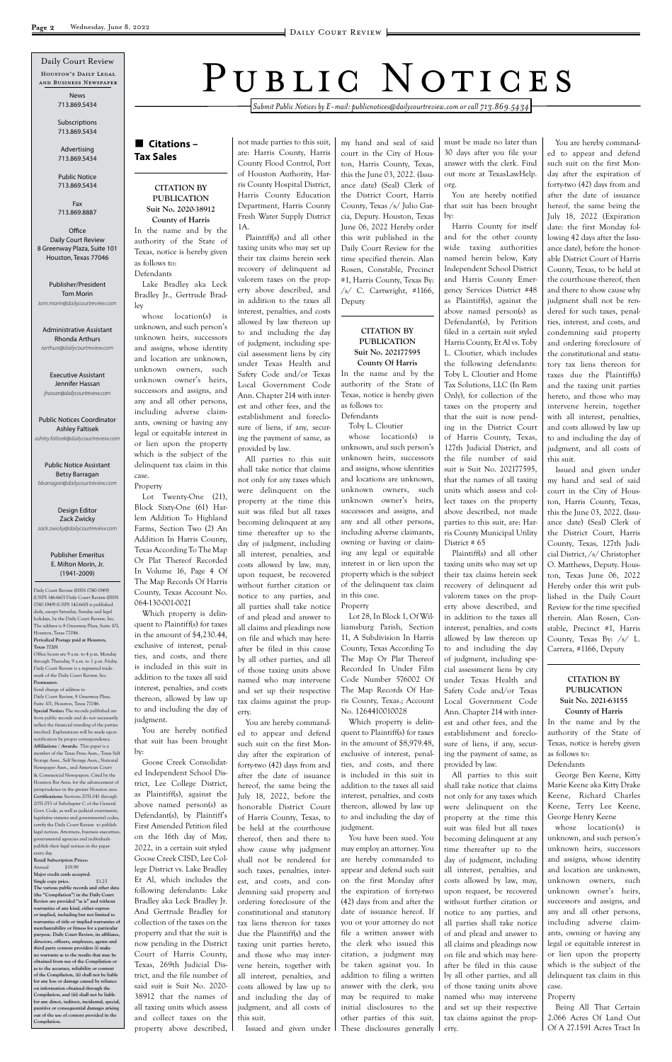*Submit Public Notices by E-mail: publicnotices@dailycourtreview.com or call 713.869.5434*

# n **Citations – Tax Sales**

#### **CITATION BY PUBLICATION Suit No. 2020-38912 County of Harris**

In the name and by the authority of the State of Texas, notice is hereby given as follows to: Defendants

Lake Bradley aka Leck Bradley Jr., Gertrude Bradley

whose location(s) is unknown, and such person's unknown heirs, successors and assigns, whose identity and location are unknown, unknown owners, such unknown owner's heirs, successors and assigns, and any and all other persons, including adverse claimants, owning or having any legal or equitable interest in or lien upon the property which is the subject of the delinquent tax claim in this case.

Property

Lot Twenty-One (21), Block Sixty-One (61) Harlem Addition To Highland Farms, Section Two (2) An Addition In Harris County, Texas According To The Map Or Plat Thereof Recorded In Volume 16, Page 4 Of The Map Records Of Harris County, Texas Account No. 064-130-001-0021

Which property is delinquent to Plaintiff(s) for taxes in the amount of \$4,230.44, exclusive of interest, penalties, and costs, and there is included in this suit in addition to the taxes all said interest, penalties, and costs thereon, allowed by law up to and including the day of judgment.

You are hereby notified that suit has been brought by:

Goose Creek Consolidated Independent School District, Lee College District, as Plaintiff(s), against the above named person(s) as Defendant(s), by Plaintiff's First Amended Petition filed on the 16th day of May, 2022, in a certain suit styled Goose Creek CISD, Lee College District vs. Lake Bradley Et Al, which includes the following defendants: Lake Bradley aka Leck Bradley Jr. And Gertrude Bradley for collection of the taxes on the property and that the suit is now pending in the District Court of Harris County, Texas, 269th Judicial District, and the file number of said suit is Suit No. 2020- 38912 that the names of all taxing units which assess and collect taxes on the property above described,

not made parties to this suit, are: Harris County, Harris County Flood Control, Port of Houston Authority, Harris County Hospital District, Harris County Education Department, Harris County Fresh Water Supply District 1A.

Plaintiff(s) and all other taxing units who may set up their tax claims herein seek recovery of delinquent ad valorem taxes on the property above described, and in addition to the taxes all interest, penalties, and costs allowed by law thereon up to and including the day of judgment, including special assessment liens by city under Texas Health and Safety Code and/or Texas Local Government Code Ann. Chapter 214 with interest and other fees, and the establishment and foreclosure of liens, if any, securing the payment of same, as provided by law.

> You have been sued. You may employ an attorney. You are hereby commanded to appear and defend such suit on the first Monday after the expiration of forty-two (42) days from and after the date of issuance hereof. If you or your attorney do not file a written answer with the clerk who issued this citation, a judgment may be taken against you. In addition to filing a written answer with the clerk, you may be required to make initial disclosures to the other parties of this suit. These disclosures generally

All parties to this suit shall take notice that claims not only for any taxes which were delinquent on the property at the time this suit was filed but all taxes becoming delinquent at any time thereafter up to the day of judgment, including all interest, penalties, and costs allowed by law, may, upon request, be recovered without further citation or notice to any parties, and all parties shall take notice of and plead and answer to all claims and pleadings now on file and which may hereafter be filed in this cause by all other parties, and all of those taxing units above named who may intervene and set up their respective tax claims against the property.

You are hereby commanded to appear and defend such suit on the first Monday after the expiration of forty-two (42) days from and after the date of issuance hereof, the same being the July 18, 2022, before the honorable District Court of Harris County, Texas, to be held at the courthouse thereof, then and there to show cause why judgment shall not be rendered for such taxes, penalties, interest, and costs, and condemning said property and ordering foreclosure of the constitutional and statutory tax liens thereon for taxes due the Plaintiff(s) and the taxing unit parties hereto, and those who may intervene herein, together with all interest, penalties, and costs allowed by law up to and including the day of judgment, and all costs of this suit. Issued and given under

my hand and seal of said court in the City of Houston, Harris County, Texas, this the June 03, 2022. (Issuance date) (Seal) Clerk of the District Court, Harris County, Texas /s/ Julio Garcia, Deputy. Houston, Texas June 06, 2022 Hereby order this writ published in the Daily Court Review for the time specified therein. Alan Rosen, Constable, Precinct #1, Harris County, Texas By:  $\sqrt{s}$  C. Cartwright, #1166, Deputy

#### **CITATION BY PUBLICATION Suit No. 202177595 County Of Harris**

In the name and by the authority of the State of Texas, notice is hereby given as follows to: Defendants

Toby L. Cloutier

whose location(s) is unknown, and such person's unknown heirs, successors and assigns, whose identities and locations are unknown, unknown owners, such unknown owner's heirs, successors and assigns, and any and all other persons, including adverse claimants, owning or having or claiming any legal or equitable interest in or lien upon the property which is the subject of the delinquent tax claim in this case. Property

Lot 28, In Block 1, Of Williamsburg Parish, Section 11, A Subdivision In Harris County, Texas According To The Map Or Plat Thereof Recorded In Under Film Code Number 576002 Of The Map Records Of Harris County, Texas.; Account No. 1264410010028

Which property is delinquent to Plaintiff(s) for taxes in the amount of \$8,979.48, exclusive of interest, penalties, and costs, and there is included in this suit in

addition to the taxes all said interest, penalties, and costs thereon, allowed by law up to and including the day of judgment.

must be made no later than 30 days after you file your answer with the clerk. Find out more at TexasLawHelp. org.

You are hereby notified that suit has been brought by:

**Office** Daily Court Review 8 Greenway Plaza, Suite 101 Houston, Texas 77046

Harris County for itself and for the other county wide taxing authorities named herein below, Katy Independent School District and Harris County Emergency Services District #48 as Plaintiff(s), against the above named person(s) as Defendant(s), by Petition filed in a certain suit styled Harris County, Et Al vs. Toby L. Cloutier, which includes the following defendants: Toby L. Cloutier and Home Tax Solutions, LLC (In Rem Only), for collection of the taxes on the property and that the suit is now pending in the District Court of Harris County, Texas, 127th Judicial District, and the file number of said suit is Suit No. 202177595, that the names of all taxing units which assess and collect taxes on the property above described, not made parties to this suit, are: Harris County Municipal Utility District # 65

Plaintiff(s) and all other taxing units who may set up their tax claims herein seek recovery of delinquent ad valorem taxes on the property above described, and in addition to the taxes all interest, penalties, and costs allowed by law thereon up to and including the day of judgment, including special assessment liens by city under Texas Health and Safety Code and/or Texas Local Government Code Ann. Chapter 214 with interest and other fees, and the establishment and foreclosure of liens, if any, securing the payment of same, as provided by law. All parties to this suit shall take notice that claims not only for any taxes which were delinquent on the property at the time this suit was filed but all taxes becoming delinquent at any time thereafter up to the day of judgment, including all interest, penalties, and costs allowed by law, may, upon request, be recovered without further citation or notice to any parties, and all parties shall take notice of and plead and answer to all claims and pleadings now on file and which may hereafter be filed in this cause by all other parties, and all of those taxing units above named who may intervene and set up their respective tax claims against the property.

You are hereby commanded to appear and defend such suit on the first Monday after the expiration of forty-two (42) days from and after the date of issuance hereof, the same being the July 18, 2022 (Expiration date: the first Monday following 42 days after the Issuance date), before the honorable District Court of Harris County, Texas, to be held at the courthouse thereof, then and there to show cause why judgment shall not be rendered for such taxes, penalties, interest, and costs, and condemning said property and ordering foreclosure of the constitutional and statutory tax liens thereon for taxes due the Plaintiff(s) and the taxing unit parties hereto, and those who may intervene herein, together with all interest, penalties, and costs allowed by law up to and including the day of judgment, and all costs of this suit.

Issued and given under my hand and seal of said court in the City of Houston, Harris County, Texas, this the June 03, 2022. (Issuance date) (Seal) Clerk of the District Court, Harris County, Texas, 127th Judicial District, /s/ Christopher O. Matthews, Deputy. Houston, Texas June 06, 2022 Hereby order this writ published in the Daily Court Review for the time specified therein. Alan Rosen, Constable, Precinct #1, Harris County, Texas By: /s/ L. Carrera, #1166, Deputy

#### **CITATION BY PUBLICATION Suit No. 2021-63155 County of Harris**

In the name and by the authority of the State of Texas, notice is hereby given as follows to: Defendants

George Ben Keene, Kitty Marie Keene aka Kitty Drake Keene, Richard Charles Keene, Terry Lee Keene, George Henry Keene whose location(s) is unknown, and such person's unknown heirs, successors and assigns, whose identity and location are unknown, unknown owners, such unknown owner's heirs, successors and assigns, and any and all other persons, including adverse claimants, owning or having any legal or equitable interest in or lien upon the property which is the subject of the delinquent tax claim in this case.

# Property

Being All That Certain 2.066 Acres Of Land Out Of A 27.1591 Acres Tract In

Daily Court Review (ISSN 0740-1949) (USPS 146-660) Daily Court Review (ISSN 0740-1949) (USPS 142-660) is published daily, except Saturday, Sunday and legal holidays, by the Daily Court Review, Inc. The address is 8 Greenway Plaza, Suite 101, Houston, Texas 77046. **Periodical Postage paid at Houston, Texas 77201** Office hours are 9 a.m. to 4 p.m. Monday

through Thursday, 9 a.m. to 1 p.m. Friday. Daily Court Review is a registered trademark of the Daily Court Review, Inc. **Postmaster:**

Houston's Daily Legal and Business Newspaper Daily Court Review

Send change of address to Daily Court Review, 8 Greenway Plaza, Suite 101, Houston, Texas 77046. **Special Notice:** The records published are from public records and do not necessarily reflect the financial standing of the parties involved. Explanations will be made upon notification by proper correspondence. **Affiliations / Awards:** This paper is a member of the Texas Press Assn., Texas Self Storage Assn., Self Storage Assn., National Newspaper Assn., and American Court & Commercial Newspapers. Cited by the Houston Bar Assn. for the advancement of jurisprudence in the greater Houston area. **Certifications:** Sections 2051.041 through 2051.053 of Subchapter C of the General Govt. Code, as well as judicial enactments, legislative statutes and governmental codes, certify the Daily Court Review to publish legal notices. Attorneys, business executive governmental agencies and individuals publish their legal notices in the paper every day. **Retail Subscription Prices:** Annual \$19.99 **Major credit cards accepted. Single copy price.** \$1.25 **The various public records and other data (the "Compilation") in the Daily Court Review are provided "as is" and without warranties of any kind, either express or implied, including but not limited to warranties of title or implied warranties of merchantability or fitness for a particular purpose. Daily Court Review, its affiliates, directors, officers, employees, agents and third party content providers (i) make no warranty as to the results that may be obtained from use of the Compilation or**  as to the accuracy, reliability or cont **of the Compilation, (ii) shall not be liable for any loss or damage caused by reliance on information obtained through the Compilation, and (iii) shall not be liable for any direct, indirect, incidental, special, punitive or consequential damages arising out of the use of content provided in the Compilation.**

PUBLIC NOTICES

News 713.869.5434

Subscriptions 713.869.5434

Advertising 713.869.5434

Public Notice 713.869.5434

Fax 713.869.8887

Publisher/President Tom Morin *tom.morin@dailycourtreview.com*

Administrative Assistant Rhonda Arthurs *rarthurs@dailycourtreview.com*

Executive Assistant Jennifer Hassan *jhassan@dailycourtreview.com*

Public Notices Coordinator Ashley Faltisek *ashley.faltisek@dailycourtreview.com*

Public Notice Assistant Betsy Barragan *bbarragan@dailycourtreview.com*

Design Editor Zack Zwicky *zack.zwicky@dailycourtreview.com*

#### Publisher Emeritus E. Milton Morin, Jr. (1941-2009)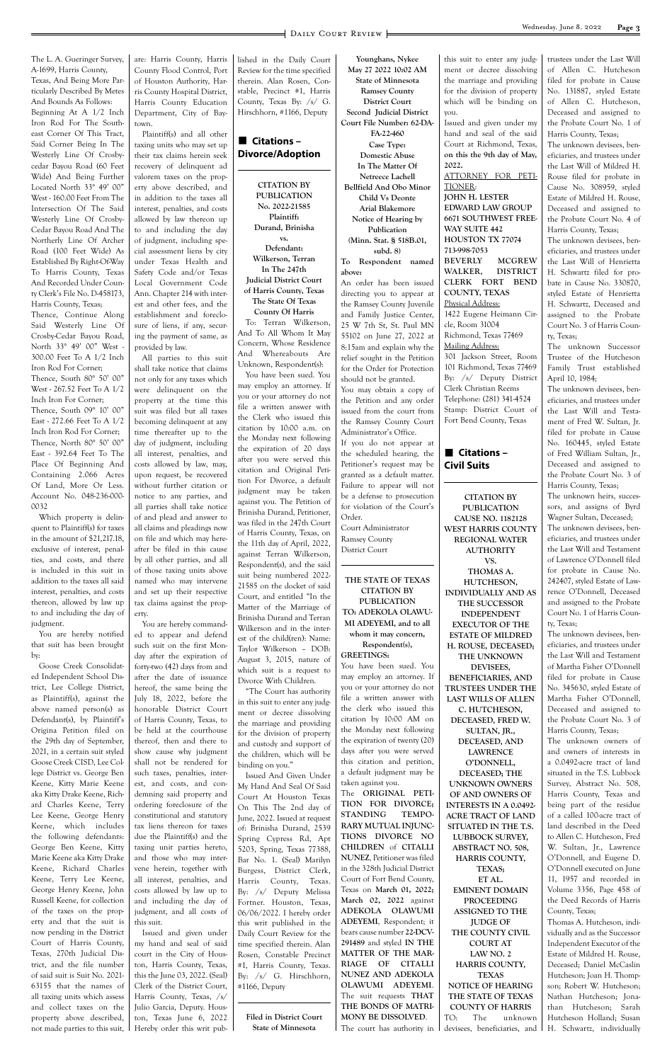The L. A. Gueringer Survey, A-1699, Harris County, Texas, And Being More Particularly Described By Metes And Bounds As Follows: Beginning At A 1/2 Inch Iron Rod For The Southeast Corner Of This Tract, Said Corner Being In The Westerly Line Of Crosbycedar Bayou Road (60 Feet Wide) And Being Further Located North 33° 49' 00" West - 160.00 Feet From The Intersection Of The Said Westerly Line Of Crosby-Cedar Bayou Road And The Northerly Line Of Archer Road (100 Feet Wide) As Established By Right-Of-Way To Harris County, Texas And Recorded Under County Clerk's File No. D-458173, Harris County, Texas; Thence, Continue Along Said Westerly Line Of Crosby-Cedar Bayou Road, North 33° 49' 00" West - 300.00 Feet To A 1/2 Inch Iron Rod For Corner; Thence, South 80° 50' 00" West - 267.52 Feet To A 1/2 Inch Iron For Corner; Thence, South 09° 10' 00" East - 272.66 Feet To A 1/2 Inch Iron Rod For Corner; Thence, North 80° 50' 00" East - 392.64 Feet To The Place Of Beginning And Containing 2.066 Acres Of Land, More Or Less. Account No. 048-236-000- 0032

Which property is delinquent to Plaintiff(s) for taxes in the amount of \$21,217.18, exclusive of interest, penalties, and costs, and there is included in this suit in addition to the taxes all said interest, penalties, and costs thereon, allowed by law up to and including the day of judgment.

You are hereby notified that suit has been brought by:

Goose Creek Consolidated Independent School District, Lee College District, as Plaintiff(s), against the above named person(s) as Defendant(s), by Plaintiff's Origina Petition filed on the 29th day of September, 2021, in a certain suit styled Goose Creek CISD, Lee College District vs. George Ben Keene, Kitty Marie Keene aka Kitty Drake Keene, Richard Charles Keene, Terry Lee Keene, George Henry Keene, which includes the following defendants: George Ben Keene, Kitty Marie Keene aka Kitty Drake Keene, Richard Charles Keene, Terry Lee Keene, George Henry Keene, John Russell Keene, for collection of the taxes on the property and that the suit is now pending in the District Court of Harris County, Texas, 270th Judicial District, and the file number of said suit is Suit No. 2021- 63155 that the names of all taxing units which assess and collect taxes on the property above described, not made parties to this suit,

are: Harris County, Harris County Flood Control, Port of Houston Authority, Harris County Hospital District, Harris County Education Department, City of Baytown.

Plaintiff(s) and all other taxing units who may set up their tax claims herein seek recovery of delinquent ad valorem taxes on the property above described, and in addition to the taxes all interest, penalties, and costs allowed by law thereon up to and including the day of judgment, including special assessment liens by city under Texas Health and Safety Code and/or Texas Local Government Code Ann. Chapter 214 with interest and other fees, and the establishment and foreclosure of liens, if any, securing the payment of same, as provided by law.

All parties to this suit shall take notice that claims not only for any taxes which were delinquent on the property at the time this suit was filed but all taxes becoming delinquent at any time thereafter up to the day of judgment, including all interest, penalties, and costs allowed by law, may, upon request, be recovered without further citation or notice to any parties, and all parties shall take notice of and plead and answer to all claims and pleadings now on file and which may hereafter be filed in this cause by all other parties, and all of those taxing units above named who may intervene and set up their respective tax claims against the property.

> **STANDING TEMPO-RARY MUTUAL INJUNC-TIONS DIVORCE NO CHILDREN** of **CITALLI NUNEZ**, Petitioner was filed in the 328th Judicial District Court of Fort Bend County, Texas on **March 01, 2022; March 02, 2022** against **ADEKOLA OLAWUMI ADEYEMI**, Respondent; it bears cause number **22-DCV-291489** and styled **IN THE MATTER OF THE MAR-RIAGE OF CITALLI NUNEZ AND ADEKOLA OLAWUMI ADEYEMI**. The suit requests **THAT THE BONDS OF MATRI-MONY BE DISSOLVED**. The court has authority in

You are hereby commanded to appear and defend such suit on the first Monday after the expiration of forty-two (42) days from and after the date of issuance hereof, the same being the July 18, 2022, before the honorable District Court of Harris County, Texas, to be held at the courthouse thereof, then and there to show cause why judgment shall not be rendered for such taxes, penalties, interest, and costs, and condemning said property and ordering foreclosure of the constitutional and statutory tax liens thereon for taxes due the Plaintiff(s) and the taxing unit parties hereto, and those who may intervene herein, together with all interest, penalties, and costs allowed by law up to and including the day of judgment, and all costs of this suit. Issued and given under my hand and seal of said court in the City of Houston, Harris County, Texas, this the June 03, 2022. (Seal) Clerk of the District Court, Harris County, Texas, /s/ Julio Garcia, Deputy. Houston, Texas June 6, 2022 Hereby order this writ pub-

# ■ Citations – **Civil Suits**

lished in the Daily Court Review for the time specified therein. Alan Rosen, Constable, Precinct #1, Harris County, Texas By: /s/ G. Hirschhorn, #1166, Deputy



**CITATION BY PUBLICATION No. 2022-21585 Plaintiff: Durand, Brinisha vs. Defendant: Wilkerson, Terran In The 247th Judicial District Court of Harris County, Texas The State Of Texas County Of Harris** To: Terran Wilkerson,

And To All Whom It May Concern, Whose Residence And Whereabouts Are Unknown, Respondent(s):

You have been sued. You may employ an attorney. If you or your attorney do not file a written answer with the Clerk who issued this citation by 10:00 a.m. on the Monday next following the expiration of 20 days after you were served this citation and Original Petition For Divorce, a default judgment may be taken against you. The Petition of Brinisha Durand, Petitioner, was filed in the 247th Court of Harris County, Texas, on the 11th day of April, 2022, against Terran Wilkerson, Respondent(s), and the said suit being numbered 2022- 21585 on the docket of said Court, and entitled "In the Matter of the Marriage of Brinisha Durand and Terran Wilkerson and in the interest of the child(ren): Name: Taylor Wilkerson – DOB: August 3, 2015, nature of which suit is a request to Divorce With Children.

"The Court has authority in this suit to enter any judgment or decree dissolving the marriage and providing for the division of property and custody and support of the children, which will be binding on you."

Issued And Given Under My Hand And Seal Of Said Court At Houston Texas On This The 2nd day of June, 2022. Issued at request of: Brinisha Durand, 2539 Spring Cypress Rd, Apt 5203, Spring, Texas 77388, Bar No. 1. (Seal) Marilyn Burgess, District Clerk, Harris County, Texas. By: /s/ Deputy Melissa Fortner. Houston, Texas, 06/06/2022. I hereby order this writ published in the Daily Court Review for the time specified therein. Alan Rosen, Constable Precinct #1, Harris County, Texas. By: /s/ G. Hirschhorn, #1166, Deputy

**Filed in District Court State of Minnesota**

**Younghans, Nykee May 27 2022 10:02 AM State of Minnesota Ramsey County District Court Second Judicial District Court File Number: 62-DA-FA-22-460 Case Type: Domestic Abuse In The Matter Of Netreece Lachell Bellfield And Obo Minor Child Vs Deonte Arial Blakemore Notice of Hearing by Publication (Minn. Stat. § 518B.01, subd. 8) To Respondent named above:** An order has been issued directing you to appear at the Ramsey County Juvenile and Family Justice Center, 25 W 7th St, St. Paul MN 55102 on June 27, 2022 at 8:15am and explain why the relief sought in the Petition for the Order for Protection should not be granted. You may obtain a copy of the Petition and any order issued from the court from the Ramsey County Court Administrator's Office. If you do not appear at the scheduled hearing, the Petitioner's request may be granted as a default matter. Failure to appear will not be a defense to prosecution for violation of the Court's Order. Court Administrator

Ramsey County District Court

**THE STATE OF TEXAS CITATION BY PUBLICATION TO: ADEKOLA OLAWU-MI ADEYEMI, and to all whom it may concern, Respondent(s),**

**GREETINGS:**

You have been sued. You may employ an attorney. If you or your attorney do not file a written answer with the clerk who issued this citation by 10:00 AM on the Monday next following the expiration of twenty (20) days after you were served this citation and petition, a default judgment may be

taken against you. The **ORIGINAL PETI-TION FOR DIVORCE;**  this suit to enter any judgment or decree dissolving the marriage and providing for the division of property which will be binding on you. Issued and given under my

hand and seal of the said Court at Richmond, Texas, **on this the 9th day of May, 2022.** ATTORNEY FOR PETI-TIONER: **JOHN H. LESTER EDWARD LAW GROUP 6671 SOUTHWEST FREE-WAY SUITE 442 HOUSTON TX 77074 713-998-7053 BEVERLY MCGREW WALKER, DISTRICT CLERK FORT BEND COUNTY, TEXAS** Physical Address: 1422 Eugene Heimann Circle, Room 31004 Richmond, Texas 77469 Mailing Address: 301 Jackson Street, Room 101 Richmond, Texas 77469 By: /s/ Deputy District Clerk Christian Reems Telephone: (281) 341-4524 Stamp: District Court of

Fort Bend County, Texas

**CITATION BY PUBLICATION CAUSE NO. 1182128 WEST HARRIS COUNTY REGIONAL WATER AUTHORITY VS. THOMAS A. HUTCHESON, INDIVIDUALLY AND AS THE SUCCESSOR INDEPENDENT EXECUTOR OF THE ESTATE OF MILDRED H. ROUSE, DECEASED; THE UNKNOWN DEVISEES, BENEFICIARIES, AND TRUSTEES UNDER THE LAST WILLS OF ALLEN C. HUTCHESON, DECEASED, FRED W. SULTAN, JR., DECEASED, AND LAWRENCE O'DONNELL, DECEASED; THE UNKNOWN OWNERS OF AND OWNERS OF INTERESTS IN A 0.0492- ACRE TRACT OF LAND SITUATED IN THE T.S. LUBBOCK SURVEY, ABSTRACT NO. 508, HARRIS COUNTY, TEXAS; ET AL. EMINENT DOMAIN PROCEEDING ASSIGNED TO THE JUDGE OF THE COUNTY CIVIL COURT AT LAW NO. 2 HARRIS COUNTY, TEXAS NOTICE OF HEARING THE STATE OF TEXAS COUNTY OF HARRIS** TO: The unknown devisees, beneficiaries, and

trustees under the Last Will of Allen C. Hutcheson filed for probate in Cause No. 131887, styled Estate of Allen C. Hutcheson, Deceased and assigned to the Probate Court No. 1 of Harris County, Texas;

The unknown devisees, beneficiaries, and trustees under the Last Will of Mildred H. Rouse filed for probate in Cause No. 308959, styled Estate of Mildred H. Rouse, Deceased and assigned to the Probate Court No. 4 of Harris County, Texas;

The unknown devisees, beneficiaries, and trustees under the Last Will of Henrietta H. Schwartz filed for probate in Cause No. 330870, styled Estate of Henrietta H. Schwartz, Deceased and assigned to the Probate Court No. 3 of Harris County, Texas;

The unknown Successor Trustee of the Hutcheson Family Trust established April 10, 1984;

The unknown devisees, beneficiaries, and trustees under the Last Will and Testament of Fred W. Sultan, Jr. filed for probate in Cause No. 160445, styled Estate of Fred William Sultan, Jr., Deceased and assigned to the Probate Court No. 3 of Harris County, Texas;

The unknown heirs, successors, and assigns of Byrd Wagner Sultan, Deceased; The unknown devisees, beneficiaries, and trustees under the Last Will and Testament of Lawrence O'Donnell filed for probate in Cause No. 242407, styled Estate of Lawrence O'Donnell, Deceased and assigned to the Probate Court No. 1 of Harris County, Texas;

The unknown devisees, beneficiaries, and trustees under the Last Will and Testament of Martha Fisher O'Donnell filed for probate in Cause No. 345630, styled Estate of Martha Fisher O'Donnell, Deceased and assigned to the Probate Court No. 3 of Harris County, Texas;

The unknown owners of and owners of interests in a 0.0492-acre tract of land situated in the T.S. Lubbock Survey, Abstract No. 508, Harris County, Texas and being part of the residue of a called 100-acre tract of land described in the Deed to Allen C. Hutcheson, Fred W. Sultan, Jr., Lawrence O'Donnell, and Eugene D. O'Donnell executed on June 11, 1957 and recorded in Volume 3356, Page 458 of the Deed Records of Harris County, Texas; Thomas A. Hutcheson, individually and as the Successor Independent Executor of the Estate of Mildred H. Rouse, Deceased; Daniel McCaslin Hutcheson; Joan H. Thompson; Robert W. Hutcheson; Nathan Hutcheson; Jonathan Hutcheson; Sarah Hutcheson Holland; Susan H. Schwartz, individually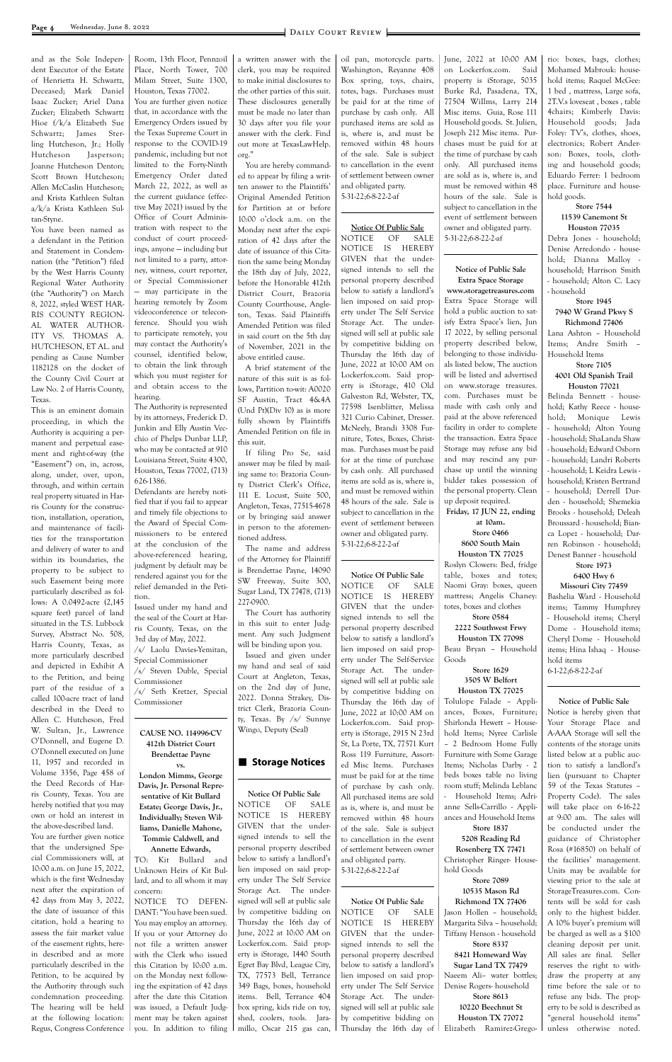and as the Sole Independent Executor of the Estate of Henrietta H. Schwartz, Deceased; Mark Daniel Isaac Zucker; Ariel Dana Zucker; Elizabeth Schwartz Hioe f/k/a Elizabeth Sue Schwartz; James Sterling Hutcheson, Jr.; Holly Hutcheson Jasperson; Joanne Hutcheson Denton; Scott Brown Hutcheson; Allen McCaslin Hutcheson; and Krista Kathleen Sultan a/k/a Krista Kathleen Sultan-Styne.

You have been named as a defendant in the Petition and Statement in Condemnation (the "Petition") filed by the West Harris County Regional Water Authority (the "Authority") on March 8, 2022, styled WEST HAR-RIS COUNTY REGION-AL WATER AUTHOR-ITY VS. THOMAS A. HUTCHESON, ET AL. and pending as Cause Number 1182128 on the docket of the County Civil Court at Law No. 2 of Harris County, Texas.

This is an eminent domain proceeding, in which the Authority is acquiring a permanent and perpetual easement and right-of-way (the "Easement") on, in, across, along, under, over, upon, through, and within certain real property situated in Harris County for the construction, installation, operation, and maintenance of facilities for the transportation and delivery of water to and within its boundaries, the property to be subject to such Easement being more particularly described as follows: A 0.0492-acre (2,145 square feet) parcel of land situated in the T.S. Lubbock Survey, Abstract No. 508, Harris County, Texas, as more particularly described and depicted in Exhibit A to the Petition, and being part of the residue of a called 100-acre tract of land described in the Deed to Allen C. Hutcheson, Fred W. Sultan, Jr., Lawrence O'Donnell, and Eugene D. O'Donnell executed on June 11, 1957 and recorded in Volume 3356, Page 458 of the Deed Records of Harris County, Texas. You are hereby notified that you may own or hold an interest in the above-described land. You are further given notice that the undersigned Special Commissioners will, at 10:00 a.m. on June 15, 2022, which is the first Wednesday next after the expiration of 42 days from May 3, 2022, the date of issuance of this citation, hold a hearing to assess the fair market value of the easement rights, herein described and as more particularly described in the Petition, to be acquired by the Authority through such condemnation proceeding. The hearing will be held at the following location: Regus, Congress Conference Room, 13th Floor, Pennzoil Place, North Tower, 700 Milam Street, Suite 1300, Houston, Texas 77002. You are further given notice that, in accordance with the Emergency Orders issued by

the Texas Supreme Court in response to the COVID-19 pandemic, including but not limited to the Forty-Ninth Emergency Order dated March 22, 2022, as well as the current guidance (effective May 2021) issued by the Office of Court Administration with respect to the conduct of court proceedings, anyone — including but not limited to a party, attorney, witness, court reporter, or Special Commissioner — may participate in the hearing remotely by Zoom videoconference or teleconference. Should you wish to participate remotely, you may contact the Authority's counsel, identified below, to obtain the link through which you must register for and obtain access to the hearing.

The Authority is represented by its attorneys, Frederick D. Junkin and Elly Austin Vecchio of Phelps Dunbar LLP, who may be contacted at 910 Louisiana Street, Suite 4300, Houston, Texas 77002, (713) 626-1386.

Defendants are hereby notified that if you fail to appear and timely file objections to the Award of Special Commissioners to be entered at the conclusion of the above-referenced hearing, judgment by default may be rendered against you for the relief demanded in the Petition.

Issued under my hand and the seal of the Court at Harris County, Texas, on the 3rd day of May, 2022.

/s/ Laolu Davies-Yemitan, Special Commissioner /s/ Steven Duble, Special

Commissioner /s/ Seth Kretzer, Special Commissioner

**CAUSE NO. 114996-CV 412th District Court Brendettae Payne vs.**

**Notice Of Public Sale** NOTICE OF SALE NOTICE IS HEREBY GIVEN that the undersigned intends to sell the personal property described below to satisfy a landlord's lien imposed on said property under The Self-Service Storage Act. The undersigned will sell at public sale by competitive bidding on Thursday the 16th day of June, 2022 at 10:00 AM on Lockerfox.com. Said property is iStorage, 2915 N 23rd St, La Porte, TX, 77571 Kurt Ross 119 Furniture, Assorted Misc Items. Purchases must be paid for at the time of purchase by cash only. All purchased items are sold as is, where is, and must be removed within 48 hours of the sale. Sale is subject to cancellation in the event of settlement between owner and obligated party. 5-31-22;6-8-22-2-af **Notice Of Public Sale** NOTICE OF SALE NOTICE IS HEREBY GIVEN that the undersigned intends to sell the personal property described below to satisfy a landlord's lien imposed on said property under The Self Service Storage Act. The undersigned will sell at public sale by competitive bidding on Thursday the 16th day of

**London Mimms, George** 

**Davis, Jr. Personal Representative of Kit Bullard Estate; George Davis, Jr., Individually; Steven Williams, Danielle Mahone, Tommie Caldwell, and Annette Edwards,** TO: Kit Bullard and Unknown Heirs of Kit Bullard, and to all whom it may concern: NOTICE TO DEFEN-DANT: "You have been sued. You may employ an attorney. If you or your Attorney do not file a written answer with the Clerk who issued this Citation by 10:00 a.m. on the Monday next following the expiration of 42 days after the date this Citation was issued, a Default Judgment may be taken against you. In addition to filing

a written answer with the clerk, you may be required to make initial disclosures to the other parties of this suit. These disclosures generally must be made no later than 30 days after you file your answer with the clerk. Find out more at TexasLawHelp. org."

You are hereby commanded to appear by filing a written answer to the Plaintiffs' Original Amended Petition for Partition at or before 10:00 o'clock a.m. on the Monday next after the expiration of 42 days after the date of issuance of this Citation the same being Monday the 18th day of July, 2022, before the Honorable 412th District Court, Brazoria County Courthouse, Angleton, Texas. Said Plaintiffs Amended Petition was filed in said court on the 5th day of November, 2021 in the above entitled cause.

A brief statement of the nature of this suit is as follows, Partition to-wit: A0020 SF Austin, Tract 4&4A (Und Pt)(Div 10) as is more fully shown by Plaintiffs Amended Petition on file in this suit.

If filing Pro Se, said answer may be filed by mailing same to: Brazoria County District Clerk's Office, 111 E. Locust, Suite 500, Angleton, Texas, 77515-4678 or by bringing said answer in person to the aforementioned address.

The name and address of the Attorney for Plaintiff is Brendettae Payne, 14090 SW Freeway, Suite 300, Sugar Land, TX 77478, (713) 227-0900.

The Court has authority in this suit to enter Judgment. Any such Judgment will be binding upon you.

Issued and given under my hand and seal of said Court at Angleton, Texas, on the 2nd day of June, 2022. Donna Strakey, District Clerk, Brazoria County, Texas. By /s/ Sunnye Wingo, Deputy (Seal)

# ■ Storage Notices

**Notice Of Public Sale** NOTICE OF SALE NOTICE IS HEREBY GIVEN that the undersigned intends to sell the personal property described below to satisfy a landlord's lien imposed on said property under The Self Service Storage Act. The undersigned will sell at public sale by competitive bidding on Thursday the 16th day of June, 2022 at 10:00 AM on Lockerfox.com. Said property is iStorage, 1440 South Egret Bay Blvd, League City, TX, 77573 Bell, Terrance 349 Bags, boxes, household items. Bell, Terrance 404 box spring, kids ride on toy, shed, coolers, tools. Jaramillo, Oscar 215 gas can,

oil pan, motorcycle parts. Washington, Reyanne 408 Box spring, toys, chairs, totes, bags. Purchases must be paid for at the time of purchase by cash only. All purchased items are sold as is, where is, and must be removed within 48 hours of the sale. Sale is subject to cancellation in the event of settlement between owner and obligated party. 5-31-22;6-8-22-2-af

**Notice Of Public Sale** NOTICE OF SALE

NOTICE IS HEREBY GIVEN that the undersigned intends to sell the personal property described below to satisfy a landlord's lien imposed on said property under The Self Service Storage Act. The undersigned will sell at public sale by competitive bidding on Thursday the 16th day of June, 2022 at 10:00 AM on Lockerfox.com. Said property is iStorage, 410 Old Galveston Rd, Webster, TX, 77598 Isenblitter, Melissa 321 Curio Cabinet, Dresser. McNeely, Brandi 3308 Furniture, Totes, Boxes, Christmas. Purchases must be paid for at the time of purchase by cash only. All purchased items are sold as is, where is, and must be removed within 48 hours of the sale. Sale is subject to cancellation in the event of settlement between owner and obligated party. 5-31-22;6-8-22-2-af

June, 2022 at 10:00 AM on Lockerfox.com. Said property is iStorage, 5035 Burke Rd, Pasadena, TX, 77504 WiIlms, Larry 214 Misc items. Guia, Rose 111 Household goods. St. Julien, Joseph 212 Misc items. Purchases must be paid for at the time of purchase by cash only. All purchased items are sold as is, where is, and must be removed within 48 hours of the sale. Sale is subject to cancellation in the event of settlement between owner and obligated party. 5-31-22;6-8-22-2-af

# **Notice of Public Sale Extra Space Storage**

**www.storagetreasures.com** Extra Space Storage will hold a public auction to satisfy Extra Space's lien, Jun 17 2022, by selling personal property described below, belonging to those individuals listed below, The auction will be listed and advertised on www.storage treasures. com. Purchases must be made with cash only and paid at the above referenced facility in order to complete the transaction. Extra Space Storage may refuse any bid and may rescind any purchase up until the winning bidder takes possession of the personal property. Clean up deposit required.

**Friday, 17 JUN 22, ending at 10am. Store 0466**

# **8600 South Main Houston TX 77025**

Roslyn Clowers: Bed, fridge table, boxes and totes; Naomi Gray: boxes, queen mattress; Angelis Chaney: totes, boxes and clothes

**Store 0584 2222 Southwest Frwy Houston TX 77098** Beau Bryan – Household

Goods **Store 1629 3505 W Belfort**

**Houston TX 77025**

Tolulope Falade – Appliances, Boxes, Furniture; Shirlonda Hewett – Household Items; Nyree Carlisle – 2 Bedroom Home Fully Furniture with Some Garage Items; Nicholas Darby - 2 beds boxes table no living

room stuff; Melinda Leblanc - Household Items; Adrianne Sells-Carrillo - Appliances and Household Items **Store 1837 5208 Reading Rd Rosenberg TX 77471** Christopher Ringer- Household Goods **Store 7089 10535 Mason Rd Richmond TX 77406** Jason Hollen – household; Margarita Silva – household; Tiffany Henson - household **Store 8337 8421 Homeward Way Sugar Land TX 77479** Naeem Ali– water bottles; Denise Rogers- household **Store 8613 10220 Beechnut St Houston TX 77072** Elizabeth Ramirez-Grego-

rio: boxes, bags, clothes; Mohamed Mabrouk: household items; Raquel McGee: 1 bed , mattress, Large sofa, 2T.V.s loveseat , boxes , table 4chairs; Kimberly Davis: Household goods; Jada Foley: TV's, clothes, shoes, electronics; Robert Anderson: Boxes, tools, clothing and household goods; Eduardo Ferrer: 1 bedroom place. Furniture and household goods.

# **Store 7544 11539 Canemont St**

**Houston 77035** Debra Jones - household; Denise Arredondo - household; Dianna Malloy household; Harrison Smith - household; Alton C. Lacy - household

**Store 1945 7940 W Grand Pkwy S**

**Richmond 77406** Lana Ashton – Household Items; Andre Smith – Household Items

#### **Store 7105 4001 Old Spanish Trail Houston 77021**

Belinda Bennett - household; Kathy Reece - household; Monique Lewis - household; Alton Young - household; ShaLanda Shaw - household; Edward Osborn - household; Landri Roberts - household; L Keidra Lewis household; Kristen Bertrand - household; Derrell Durden - household; Shemekia Brooks - household; Deleah Broussard - household; Bianca Lopez - household; Darren Robinson - household; Denest Banner - household

# **Store 1973**

#### **6400 Hwy 6 Missouri City 77459**

Bashelia Ward - Household items; Tammy Humphrey - Household items; Cheryl Dome - Household items; Cheryl Dome - Household items; Hina Ishaq - Household items 6-1-22;6-8-22-2-af

**Notice of Public Sale**

Notice is hereby given that Your Storage Place and A-AAA Storage will sell the contents of the storage units listed below at a public auction to satisfy a landlord's lien (pursuant to Chapter

59 of the Texas Statutes – Property Code). The sales will take place on 6-16-22 at 9:00 am. The sales will be conducted under the guidance of Christopher Rosa (#16850) on behalf of the facilities' management. Units may be available for viewing prior to the sale at StorageTreasures.com. Contents will be sold for cash only to the highest bidder. A 10% buyer's premium will be charged as well as a \$100 cleaning deposit per unit. All sales are final. Seller reserves the right to withdraw the property at any time before the sale or to refuse any bids. The property to be sold is described as "general household items" unless otherwise noted.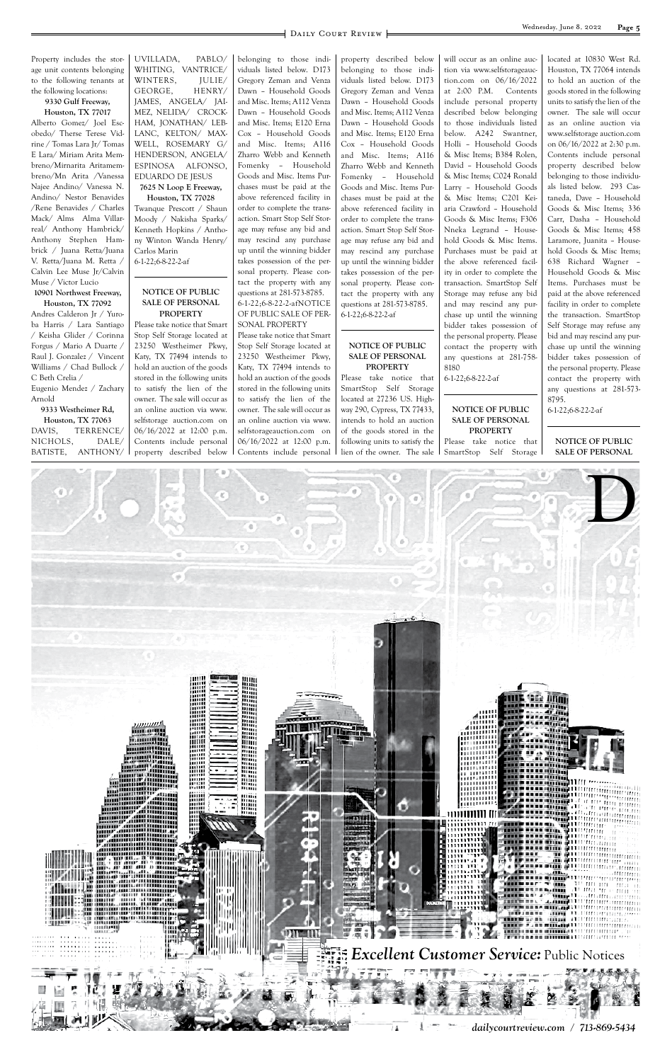

Property includes the storage unit contents belonging to the following tenants at the following locations:

#### **9330 Gulf Freeway, Houston, TX 77017**

Alberto Gomez/ Joel Escobedo/ Therse Terese Vidrine / Tomas Lara Jr/ Tomas E Lara/ Miriam Arita Membreno/Mirnarita Aritamembreno/Mn Arita /Vanessa Najee Andino/ Vanessa N. Andino/ Nestor Benavides /Rene Benavides / Charles Mack/ Alms Alma Villarreal/ Anthony Hambrick/ Anthony Stephen Hambrick / Juana Retta/Juana V. Retta/Juana M. Retta / Calvin Lee Muse Jr/Calvin Muse / Victor Lucio **10901 Northwest Freeway,** 

# **Houston, TX 77092**

Andres Calderon Jr / Yuroba Harris / Lara Santiago / Keisha Glider / Corinna Forgus / Mario A Duarte / Raul J. Gonzalez / Vincent Williams / Chad Bullock / C Beth Crelia / Eugenio Mendez / Zachary Arnold

**9333 Westheimer Rd, Houston, TX 77063** DAVIS, TERRENCE/ NICHOLS, DALE/ BATISTE, ANTHONY/ UVILLADA, PABLO/ WHITING, VANTRICE/ WINTERS, JULIE/ GEORGE, HENRY/ JAMES, ANGELA/ JAI-MEZ, NELIDA/ CROCK-HAM, JONATHAN/ LEB-LANC, KELTON/ MAX-WELL, ROSEMARY G/ HENDERSON, ANGELA/ ESPINOSA ALFONSO, EDUARDO DE JESUS **7625 N Loop E Freeway,** 

# **Houston, TX 77028**

Twanque Prescott / Shaun Moody / Nakisha Sparks/ Kenneth Hopkins / Anthony Winton Wanda Henry/ Carlos Marin 6-1-22;6-8-22-2-af

#### **NOTICE OF PUBLIC SALE OF PERSONAL PROPERTY**

Please take notice that Smart Stop Self Storage located at 23250 Westheimer Pkwy, Katy, TX 77494 intends to hold an auction of the goods stored in the following units to satisfy the lien of the owner. The sale will occur as an online auction via www. selfstorage auction.com on 06/16/2022 at 12:00 p.m. Contents include personal property described below belonging to those individuals listed below. D173 Gregory Zeman and Venza Dawn – Household Goods and Misc. Items; A112 Venza Dawn – Household Goods and Misc. Items; E120 Erna Cox – Household Goods and Misc. Items; A116 Zharro Webb and Kenneth Fomenky – Household Goods and Misc. Items Purchases must be paid at the above referenced facility in order to complete the transaction. Smart Stop Self Storage may refuse any bid and may rescind any purchase up until the winning bidder takes possession of the personal property. Please contact the property with any questions at 281-573-8785. 6-1-22;6-8-22-2-afNOTICE OF PUBLIC SALE OF PER-SONAL PROPERTY

Please take notice that Smart Stop Self Storage located at 23250 Westheimer Pkwy, Katy, TX 77494 intends to hold an auction of the goods stored in the following units to satisfy the lien of the owner. The sale will occur as an online auction via www. selfstorageauction.com on 06/16/2022 at 12:00 p.m. Contents include personal

property described below belonging to those individuals listed below. D173 Gregory Zeman and Venza Dawn – Household Goods and Misc. Items; A112 Venza Dawn – Household Goods and Misc. Items; E120 Erna Cox – Household Goods and Misc. Items; A116 Zharro Webb and Kenneth Fomenky – Household Goods and Misc. Items Purchases must be paid at the above referenced facility in order to complete the transaction. Smart Stop Self Storage may refuse any bid and may rescind any purchase up until the winning bidder takes possession of the personal property. Please contact the property with any questions at 281-573-8785. 6-1-22;6-8-22-2-af

#### **NOTICE OF PUBLIC SALE OF PERSONAL PROPERTY**

Please take notice that SmartStop Self Storage located at 27236 US. Highway 290, Cypress, TX 77433, intends to hold an auction of the goods stored in the following units to satisfy the lien of the owner. The sale

will occur as an online auction via www.selfstorageauction.com on 06/16/2022 at 2:00 P.M. Contents include personal property described below belonging to those individuals listed below. A242 Swantner, Holli – Household Goods & Misc Items; B384 Rolen, David – Household Goods & Misc Items; C024 Ronald Larry – Household Goods & Misc Items; C201 Keiaria Crawford – Household Goods & Misc Items; F306 Nneka Legrand – Household Goods & Misc Items. Purchases must be paid at the above referenced facility in order to complete the transaction. SmartStop Self Storage may refuse any bid and may rescind any purchase up until the winning bidder takes possession of the personal property. Please contact the property with any questions at 281-758- 8180

6-1-22;6-8-22-2-af

#### **NOTICE OF PUBLIC SALE OF PERSONAL PROPERTY**

Please take notice that SmartStop Self Storage located at 10830 West Rd. Houston, TX 77064 intends to hold an auction of the goods stored in the following units to satisfy the lien of the owner. The sale will occur as an online auction via www.selfstorage auction.com on 06/16/2022 at 2:30 p.m. Contents include personal property described below belonging to those individuals listed below. 293 Castaneda, Dave – Household Goods & Misc Items; 336 Carr, Dasha – Household Goods & Misc Items; 458 Laramore, Juanita – Household Goods & Misc Items; 638 Richard Wagner – Household Goods & Misc Items. Purchases must be paid at the above referenced facility in order to complete the transaction. SmartStop Self Storage may refuse any bid and may rescind any purchase up until the winning bidder takes possession of the personal property. Please contact the property with any questions at 281-573- 8795.

6-1-22;6-8-22-2-af

**NOTICE OF PUBLIC SALE OF PERSONAL**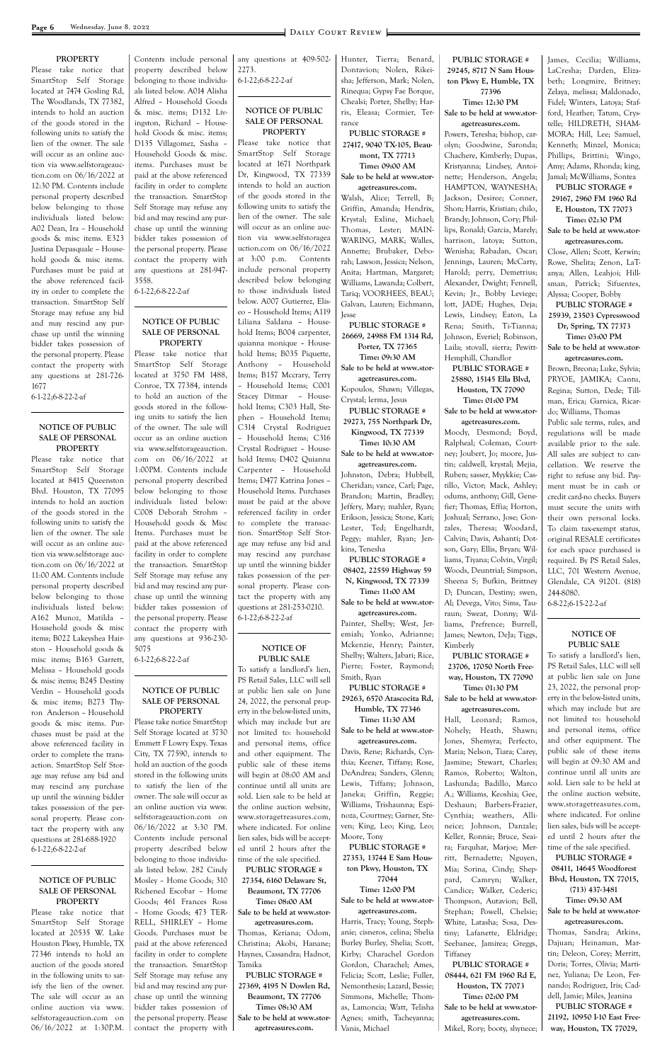#### **PROPERTY**

Please take notice that SmartStop Self Storage located at 7474 Gosling Rd, The Woodlands, TX 77382, intends to hold an auction of the goods stored in the following units to satisfy the lien of the owner. The sale will occur as an online auction via www.selfstorageauction.com on 06/16/2022 at 12:30 PM. Contents include personal property described below belonging to those individuals listed below: A02 Dean, Ira – Household goods & misc items. E323 Justina Depasquale – Household goods & misc items. Purchases must be paid at the above referenced facility in order to complete the transaction. SmartStop Self Storage may refuse any bid and may rescind any purchase up until the winning bidder takes possession of the personal property. Please contact the property with any questions at 281-726- 1677

6-1-22;6-8-22-2-af

#### **NOTICE OF PUBLIC SALE OF PERSONAL PROPERTY**

Please take notice that SmartStop Self Storage located at 8415 Queenston Blvd. Houston, TX 77095 intends to hold an auction of the goods stored in the following units to satisfy the lien of the owner. The sale will occur as an online auction via www.selfstorage auction.com on 06/16/2022 at 11:00 AM. Contents include personal property described below belonging to those individuals listed below: A162 Munoz, Matilda – Household goods & misc items; B022 Lakeyshea Hairston – Household goods & misc items; B163 Garrett, Melissa – Household goods & misc items; B245 Destiny Verdin – Household goods & misc items; B273 Thyron Anderson – Household goods & misc items. Purchases must be paid at the above referenced facility in order to complete the transaction. SmartStop Self Storage may refuse any bid and

may rescind any purchase up until the winning bidder takes possession of the personal property. Please contact the property with any questions at 281-688-1920 6-1-22;6-8-22-2-af

#### **NOTICE OF PUBLIC SALE OF PERSONAL PROPERTY**

Please take notice that SmartStop Self Storage located at 20535 W. Lake Houston Pkwy, Humble, TX 77346 intends to hold an auction of the goods stored in the following units to satisfy the lien of the owner. The sale will occur as an online auction via www. selfstorageauction.com on 06/16/2022 at 1:30P.M.

Contents include personal property described below belonging to those individuals listed below. A014 Alisha Alfred – Household Goods & misc. items; D132 Livingston, Richard – Household Goods & misc. items; D135 Villagomez, Sasha – Household Goods & misc. items. Purchases must be paid at the above referenced facility in order to complete the transaction. SmartStop Self Storage may refuse any bid and may rescind any purchase up until the winning bidder takes possession of the personal property. Please contact the property with any questions at 281-947- 3558.

6-1-22;6-8-22-2-af

#### **NOTICE OF PUBLIC SALE OF PERSONAL PROPERTY**

Please take notice that SmartStop Self Storage located at 3750 FM 1488, Conroe, TX 77384, intends to hold an auction of the goods stored in the following units to satisfy the lien of the owner. The sale will occur as an online auction via www.selfstorageauction. com on 06/16/2022 at 1:00PM. Contents include personal property described below belonging to those individuals listed below: C008 Deborah Strohm – Household goods & Misc Items. Purchases must be paid at the above referenced facility in order to complete the transaction. SmartStop Self Storage may refuse any bid and may rescind any purchase up until the winning bidder takes possession of the personal property. Please contact the property with any questions at 936-230- 5075

6-1-22;6-8-22-2-af

#### **NOTICE OF PUBLIC SALE OF PERSONAL PROPERTY**

Please take notice SmartStop Self Storage located at 3730 Emmett F Lowry Expy. Texas City, TX 77590, intends to hold an auction of the goods stored in the following units to satisfy the lien of the owner. The sale will occur as an online auction via www. selfstorageauction.com on 06/16/2022 at 3:30 PM. Contents include personal property described below belonging to those individuals listed below. 282 Cindy Mosley – Home Goods; 310 Richened Escobar – Home Goods; 461 Frances Ross – Home Goods; 473 TER-RELL, SHIRLEY – Home Goods. Purchases must be paid at the above referenced facility in order to complete the transaction. SmartStop Self Storage may refuse any bid and may rescind any purchase up until the winning bidder takes possession of the personal property. Please contact the property with

any questions at 409-502- 2273.

6-1-22;6-8-22-2-af

#### **NOTICE OF PUBLIC SALE OF PERSONAL PROPERTY**

Please take notice that SmartStop Self Storage located at 1671 Northpark Dr, Kingwood, TX 77339 intends to hold an auction of the goods stored in the following units to satisfy the lien of the owner. The sale will occur as an online auction via www.selfstoragea uction.com on 06/16/2022 at 3:00 p.m. Contents include personal property described below belonging to those individuals listed below. A007 Gutierrez, Eliseo – Household Items; A119 Liliana Saldana – Household Items; B004 carpenter, quianna monique – Household Items; B035 Piquette, Anthony – Household Items; B157 Mccrary, Terry – Household Items; C001 Stacey Ditmar – Household Items; C303 Hall, Stephen – Household Items; C314 Crystal Rodriguez – Household Items; C316 Crystal Rodriguez – Household Items; D402 Quianna Carpenter – Household Items; D477 Katrina Jones – Household Items. Purchases must be paid at the above referenced facility in order to complete the transaction. SmartStop Self Storage may refuse any bid and may rescind any purchase up until the winning bidder takes possession of the personal property. Please contact the property with any questions at 281-253-0210. 6-1-22;6-8-22-2-af

#### **NOTICE OF PUBLIC SALE**

To satisfy a landlord's lien, PS Retail Sales, LLC will sell at public lien sale on June 24, 2022, the personal property in the below-listed units, which may include but are not limited to: household and personal items, office and other equipment. The public sale of these items will begin at 08:00 AM and continue until all units are sold. Lien sale to be held at the online auction website, www.storagetreasures.com, where indicated. For online lien sales, bids will be accepted until 2 hours after the time of the sale specified. **PUBLIC STORAGE # 27354, 6160 Delaware St, Beaumont, TX 77706 Time: 08:00 AM Sale to be held at www.storagetreasures.com.** Thomas, Keriana; Odom, Christina; Akobi, Hanane; Haynes, Cassandra; Hadnot, Tamika **PUBLIC STORAGE # 27369, 4195 N Dowlen Rd, Beaumont, TX 77706 Time: 08:30 AM Sale to be held at www.storagetreasures.com.**

Hunter, Tierra; Benard, Dontavion; Nolen, Rikeisha; Jefferson, Mark; Nolen, Rinequa; Gypsy Fae Borque, Chealsi; Porter, Shelby; Harris, Eleasa; Cormier, Terrance

**PUBLIC STORAGE # 27417, 9040 TX-105, Beaumont, TX 77713 Time: 09:00 AM Sale to be held at www.stor-**

**agetreasures.com.** Walsh, Alice; Terrell, B; Griffin, Amanda; Hendrix, Krystal; Exline, Michael; Thomas, Lester; MAIN-WARING, MARK; Walles, Annette; Brubaker, Deborah; Lawson, Jessica; Nelson, Anita; Hartman, Margaret; Williams, Lawanda; Colbert, Tariq; VOORHEES, BEAU; Galvan, Lauren; Eichmann, Jesse

**PUBLIC STORAGE # 26669, 24988 FM 1314 Rd, Porter, TX 77365**

**Time: 09:30 AM Sale to be held at www.storagetreasures.com.**

Kopoulos, Shawn; Villegas, Crystal; lerma, Jesus

**PUBLIC STORAGE # 29273, 755 Northpark Dr, Kingwood, TX 77339**

**Time: 10:30 AM Sale to be held at www.storagetreasures.com.**

Johnston, Debra; Hubbell, Cheridan; vance, Carl; Page, Brandon; Martin, Bradley; Jeffery, Mary; mahler, Ryan; Erikson, Jessica; Stone, Kari; Lester, Ted; Engelhardt, Peggy; mahler, Ryan; Jenkins, Tenesha

**PUBLIC STORAGE # 08402, 22559 Highway 59 N, Kingwood, TX 77339 Time: 11:00 AM**

**Sale to be held at www.storagetreasures.com.**

Painter, Shelby; West, Jeremiah; Yonko, Adrianne; Mckenzie, Henry; Painter, Shelby; Walters, Jabari; Rice, Pierre; Foster, Raymond; Smith, Ryan **PUBLIC STORAGE #** 

**29263, 6570 Atascocita Rd, Humble, TX 77346**

**Time: 11:30 AM Sale to be held at www.storagetreasures.com.**

Davis, Rene; Richards, Cynthia; Keener, Tiffany; Rose, DeAndrea; Sanders, Glenn; Lewis, Tiffany; Johnson, Janeka; Griffin, Reggie; Williams, Trishaunna; Espinoza, Courtney; Garner, Steven; King, Leo; King, Leo; Moore, Tony **PUBLIC STORAGE # 27353, 13744 E Sam Houston Pkwy, Houston, TX 77044 Time: 12:00 PM Sale to be held at www.storagetreasures.com.** Harris, Tracy; Young, Stephanie; cisneros, celina; Shelia Burley Burley, Shelia; Scott, Kirby; Charachel Gordon Gordon, Charachel; Ames, Felicia; Scott, Leslie; Fuller, Nemonthesis; Lazard, Bessie; Simmons, Michelle; Thomas, Lamoncia; Watt, Telisha Agnes; smith, Tacheyanna; Vanis, Michael

**PUBLIC STORAGE # 29245, 8717 N Sam Houston Pkwy E, Humble, TX 77396**

#### **Time: 12:30 PM Sale to be held at www.stor-**

**agetreasures.com.** Powers, Teresha; bishop, carolyn; Goodwine, Saronda; Chachere, Kimberly; Dupas, Kristyanna; Lindsey, Antoinette; Henderson, Angela; HAMPTON, WAYNESHA; Jackson, Desiree; Conner, Shon; Harris, Kristian; chilo, Brandy; Johnson, Cory; Phillips, Ronald; Garcia, Marely; harrison, latoya; Sutton, Wenisha; Rabadan, Oscar; Jennings, Lauren; McCarty, Harold; perry, Demetrius; Alexander, Dwight; Fennell, Kevin; Jr., Bobby Leviege; lott, JADE; Hughes, Deja; Lewis, Lindsey; Eaton, La Rena; Smith, Ti-Tianna; Johnson, Everiel; Robinson, Laila; stovall, sierra; Pewitt-Hemphill, Chandlor

**PUBLIC STORAGE # 25880, 15145 Ella Blvd, Houston, TX 77090 Time: 01:00 PM**

**Sale to be held at www.storagetreasures.com.**

Moody, Desmond; Boyd, Ralpheal; Coleman, Courtney; Joubert, Jo; moore, Justin; caldwell, krystal; Mejia, Ruben; sasser, Myykkie; Castillo, Victor; Mack, Ashley; odums, anthony; Gill, Genefier; Thomas, Effia; Horton, Joshual; Serrano, Jose; Gonzales, Theresa; Woodard, Calvin; Davis, Ashanti; Dotson, Gary; Ellis, Bryan; Williams, Tiyana; Colvin, Virgil; Woods, Deuntrial; Simpson, Sheena S; Bufkin, Brittney D; Duncan, Destiny; swen, Al; Devega, Vito; Sims, Tauraun; Sweat, Donny; Williams, Prefrence; Burrell, James; Newton, DeJa; Tiggs, Kimberly

**PUBLIC STORAGE # 23706, 17050 North Freeway, Houston, TX 77090 Time: 01:30 PM**

**Sale to be held at www.storagetreasures.com.**

Hall, Leonard; Ramos, Nohely; Heath, Shawn; Jones, Shemyra; Perfecto, Maria; Nelson, Tiara; Carey, Jasmine; Stewart, Charles; Ramos, Roberto; Walton, Lashunda; Badillo, Marco A.; Williams, Keoshia; Gee, Deshaun; Barbers-Frazier, Cynthia; weathers, Allineice; Johnson, Danzale; Keller, Ronnie; Bruce, Seaira; Farquhar, Marjoe; Merritt, Bernadette; Nguyen, Mia; Sorina, Cindy; Sheppard, Camryn; Walker, Candice; Walker, Cederic; Thompson, Autavion; Bell, Stephan; Powell, Chelsie; White, Latasha; Sosa, Destiny; Lafanette, Eldridge; Seebanee, Jamirea; Greggs, Tiffaney **PUBLIC STORAGE # 08444, 621 FM 1960 Rd E, Houston, TX 77073 Time: 02:00 PM Sale to be held at www.storagetreasures.com.** Mikel, Rory; booty, shynece;

James, Cecilia; Williams, LaCresha; Darden, Elizabeth; Longmire, Britney; Zelaya, melissa; Maldonado, Fidel; Winters, Latoya; Stafford, Heather; Tatum, Crystelle; HILDRETH, SHAM-MORA; Hill, Lee; Samuel, Kenneth; Minzel, Monica; Phillips, Brittini; Wingo, Amy; Adams, Rhonda; king, Jamal; McWilliams, Sontea

**PUBLIC STORAGE # 29167, 2960 FM 1960 Rd E, Houston, TX 77073**

**Time: 02:30 PM**

**Sale to be held at www.storagetreasures.com.**

Close, Allen; Scott, Kerwin; Rowe, Shelita; Zenon, LaTanya; Allen, Leahjoi; Hillsman, Patrick; Sifuentes, Alyssa; Cooper, Bobby

**PUBLIC STORAGE # 25939, 23503 Cypresswood Dr, Spring, TX 77373**

**Time: 03:00 PM Sale to be held at www.stor-**

**agetreasures.com.**

Brown, Breona; Luke, Sylvia; PRYOE, JAMIKA; Cantu, Regina; Sutton, Dede; Tillman, Erica; Garnica, Ricardo; Williams, Thomas

Public sale terms, rules, and regulations will be made available prior to the sale. All sales are subject to cancellation. We reserve the right to refuse any bid. Payment must be in cash or credit card-no checks. Buyers must secure the units with their own personal locks. To claim tax-exempt status, original RESALE certificates for each space purchased is required. By PS Retail Sales, LLC, 701 Western Avenue, Glendale, CA 91201. (818) 244-8080.

6-8-22;6-15-22-2-af

### **NOTICE OF PUBLIC SALE**

To satisfy a landlord's lien, PS Retail Sales, LLC will sell at public lien sale on June 23, 2022, the personal property in the below-listed units, which may include but are not limited to: household and personal items, office and other equipment. The public sale of these items will begin at 09:30 AM and continue until all units are sold. Lien sale to be held at the online auction website, www.storagetreasures.com, where indicated. For online lien sales, bids will be accepted until 2 hours after the time of the sale specified. **PUBLIC STORAGE # 08411, 14645 Woodforest Blvd, Houston, TX 77015, (713) 437-3481 Time: 09:30 AM Sale to be held at www.storagetreasures.com.** Thomas, Sandra; Atkins, Dajuan; Heinaman, Martin; Deleon, Corey; Merritt, Doris; Torres, Olivia; Martinez, Yuliana; De Leon, Fernando; Rodriguez, Iris; Caddell, Jamie; Miles, Jeanina **PUBLIC STORAGE # 21192, 10950 I-10 East Freeway, Houston, TX 77029,**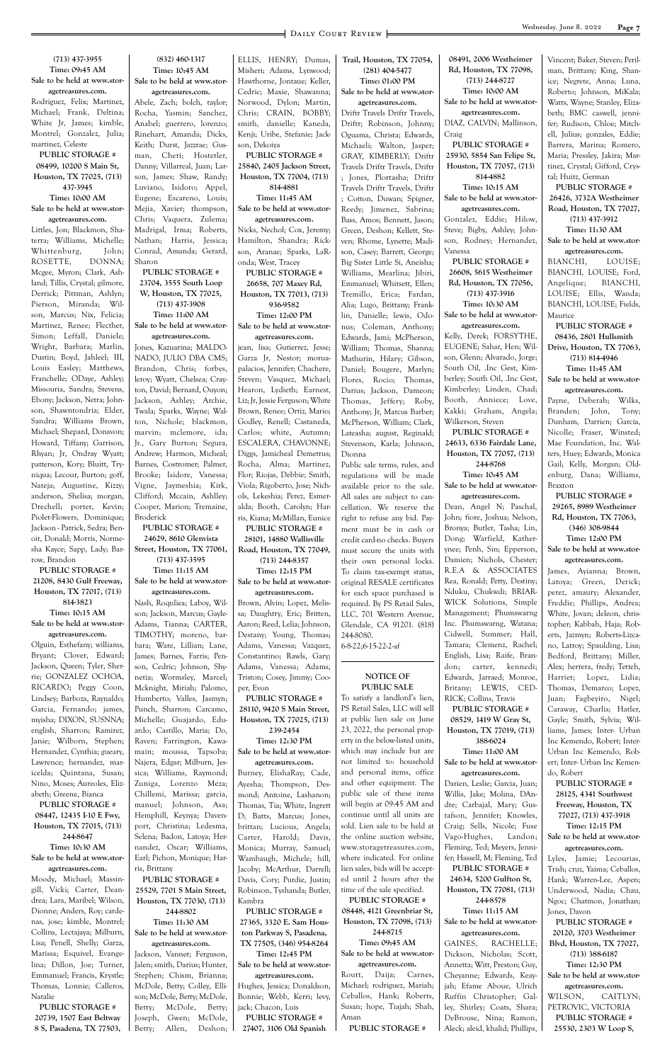#### **(713) 437-3955 Time: 09:45 AM Sale to be held at www.storagetreasures.com.** Rodriguez, Felix; Martinez, Michael; Frank, Deltina;

White Jr, James; kimble, Montrel; Gonzalez, Julia; martinez, Celeste

**PUBLIC STORAGE # 08499, 10200 S Main St, Houston, TX 77025, (713) 437-3945 Time: 10:00 AM Sale to be held at www.storagetreasures.com.**

Littles, Jon; Blackmon, Shaterra; Williams, Michelle; Whittenburg, John; ROSETTE, DONNA; Mcgee, Myron; Clark, Ashland; Tillis, Crystal; gilmore, Derrick; Pittman, Ashlyn; Pierson, Miranda; Wilson, Marcus; Nix, Felicia; Martinez, Renee; Flecther, Simon; Leffall, Daniele; Wright, Barbara; Marlin, Dustin; Boyd, Jahleel; III, Louis Easley; Matthews, Franchelle; ODaye, Ashley; Missouria, Sandra; Stevens, Ebony; Jackson, Netra; Johnson, Shawntondria; Elder, Sandra; Williams Brown, Michael; Shepard, Donavon; Howard, Tiffany; Garrison, Rhyan; Jr, Ondray Wyatt; patterson, Kory; Bluitt, Tryniqua; Lecour, Burton; goff, Nateja; Augustine, Kizzy; anderson, Shelisa; morgan, Drechell; porter, Kevin; Piolet-Flowers, Dominique; Jackson - Patrick, Sedra; Benoit, Donald; Morris, Normesha Kayce; Sapp, Lady; Barrow, Brandon

## **PUBLIC STORAGE # 21208, 8430 Gulf Freeway, Houston, TX 77017, (713) 814-3823 Time: 10:15 AM Sale to be held at www.stor-**

**agetreasures.com.** Olguin, Esthefany; williams, Bryant; Clover, Edward; Jackson, Queen; Tyler, Sherrie; GONZALEZ OCHOA, RICARDO; Peggy Coon, Lindsey; Barboza, Raynaldo; Garcia, Fernando; james, myisha; DIXON, SUSNNA; english, Sharron; Ramirez, Janie; Wilborn, Stephen; Hernandez, Cynthia; gueary, Lawrence; hernandez, maricelda; Quintana, Susan; Nino, Moses; Aureoles, Elizabeth; Greene, Bianca **PUBLIC STORAGE # 08447, 12435 I-10 E Fwy, Houston, TX 77015, (713) 244-8647 Time: 10:30 AM Sale to be held at www.storagetreasures.com.** Moody, Michael; Massingill, Vicki; Carter, Deandrea; Lara, Maribel; Wilson, Dionne; Anders, Roy; cardenas, jose; kimble, Montrel; Collins, Lectajaya; Milburn, Lisa; Penell, Shelly; Garza, Marissa; Esquivel, Evangelina; Dillon, Joe; Turner, Emmanuel; Francis, Krystle; Thomas, Lonnie; Calleros, Natalie **PUBLIC STORAGE # 20739, 1507 East Beltway 8 S, Pasadena, TX 77503,** 

# **(832) 460-1317 Time: 10:45 AM Sale to be held at www.stor-**

**agetreasures.com.** Abele, Zach; bolch, taylor; Rocha, Yasmin; Sanchez, Anabel; guerrero, lorenzo; Rinehart, Amanda; Dicks, Keith; Durst, Jazzrae; Gusman, Cheri; Hostetler, Danny; Villarreal, Juan; Larson, James; Shaw, Randy; Luviano, Isidoro; Appel, Eugene; Escareno, Louis; Mejia, Xavier; thompson, Chris; Vaquera, Zulema; Madrigal, Irma; Roberts, Nathan; Harris, Jessica; Conrad, Amanda; Gerard, Sharon

## **PUBLIC STORAGE # 23704, 3555 South Loop W, Houston, TX 77025, (713) 437-3908 Time: 11:00 AM**

**Sale to be held at www.storagetreasures.com.**

Jones, Kazuarina; MALDO-NADO, JULIO DBA CMS; Brandon, Chris; forbes, leroy; Wyatt, Chelsea; Crayton, David; Bernard, Ouyon; Jackson, Ashley; Archie, Twala; Sparks, Wayne; Walton, Nichole; blackmon, marvin; mclemore, ida; Jr., Gary Burton; Segura, Andrew; Harmon, Micheal; Barnes, Costromer; Palmer, Brooke; Isidore, Vanessa; Vigne, Jaymeshia; Kirk, Clifford; Mccain, Ashlley; Cooper, Marion; Tremaine, Broderick

# **PUBLIC STORAGE # 24629, 8610 Glenvista Street, Houston, TX 77061,**

**(713) 437-3595 Time: 11:15 AM**

#### **Sale to be held at www.storagetreasures.com.**

Nash, Roquliea; Laboy, Wilson; Jackson, Marcus; Gayle-Adams, Tianna; CARTER, TIMOTHY; moreno, barbara; Ware, Lillian; Lane, James; Barnes, Farris; Penson, Cedric; Johnson, Shynetia; Wormsley, Marcel; Mcknight, Miriah; Palomo, Humberto; Valles, Jasmyn; Punch, Sharron; Carcamo, Michelle; Guajardo, Eduardo; Castillo, Maria; Do, Raven; Farrington, Kawamain; moussa, Tapsoba; Najera, Edgar; Milburn, Jessica; Williams, Raymond; Zuniga, Lorenzo Meza; Chillemi, Marissa; garcia, manuel; Johnson, Asa; Hemphill, Keynya; Davenport, Christina; Ledesma, Selena; Badon, Latoya; Hernandez, Oscar; Williams, Earl; Pichon, Monique; Harris, Brittany **PUBLIC STORAGE # 25529, 7701 S Main Street, Houston, TX 77030, (713) 244-8802 Time: 11:30 AM Sale to be held at www.storagetreasures.com.** Jackson, Vannet; Ferguson, Jalen; smith, Darius; Hunter, Stephen; Chism, Brianna; McDole, Betty; Colley, Ellison; McDole, Betty; McDole, Betty; McDole, Betty;

ELLIS, HENRY; Dumas, Misheri; Adams, Lynwood; Hawthorne, Jontaue; Keller, Cedric; Maxie, Shawanna; Norwood, Dylon; Martin, Chris; CRAIN, BOBBY; smith, danielle; Kaneda, Kenji; Uribe, Stefanie; Jackson, Dekoiya

**PUBLIC STORAGE # 25840, 2405 Jackson Street, Houston, TX 77004, (713) 814-4881**

**Time: 11:45 AM Sale to be held at www.stor-**

**agetreasures.com.** Nicks, Nechol; Cox, Jeremy; Hamilton, Shandra; Rickson, Aranae; Sparks, LaRonda; West, Tracey

**PUBLIC STORAGE # 26658, 707 Maxey Rd, Houston, TX 77013, (713) 936-9582 Time: 12:00 PM Sale to be held at www.stor-**

# **agetreasures.com.**

jean, lisa; Gutierrez, Jesse; Garza Jr, Nestor; moruapalacios, Jennifer; Chachere, Steven; Vasquez, Michael; Hearon, Lydieth; Earnest, Liz; Jr, Jessie Ferguson; White Brown, Renee; Ortiz, Mario; Godley, Renell; Castaneda, Carlos; white, Autumn; ESCALERA, CHAVONNE; Diggs, Jamicheal Demetrus; Rocha, Alma; Martinez, Flor; Riojas, Debbie; Smith, Viola; Rigoberto, Jose; Nichols, Lekeshia; Perez, Esmeralda; Booth, Carolyn; Harris, Kiana; McMillan, Eunice

Joseph, Gwen; McDole, Betty; Allen, Deshon; Ayesha; Thompson, Desmond; Antoine, Lashanon; Thomas, Tia; White, Ingrett D; Batts, Marcus; Jones, brittan; Lucious, Angela; Carter, Harold; Davis, Monica; Murray, Samuel; Wambaugh, Michele; hill, Jacoby; McArthur, Darrell; Davis, Cory; Purdie, Justin; Robinson, Tyshanda; Butler, Kambra **PUBLIC STORAGE # 27365, 3320 E. Sam Houston Parkway S, Pasadena, TX 77505, (346) 954-8264 Time: 12:45 PM Sale to be held at www.storagetreasures.com.** Hughes, Jessica; Donaldson, Bonnie; Webb, Kerri; levy, jack; Chacon, Luis **PUBLIC STORAGE # 27407, 3106 Old Spanish** 

**PUBLIC STORAGE # 28101, 14880 Wallisville** 

**Road, Houston, TX 77049, (713) 244-8357**

**Time: 12:15 PM Sale to be held at www.stor-**

**agetreasures.com.**

Brown, Alvin; Lopez, Melissa; Daughtry, Eric; Britten, Aaron; Reed, Lelia; Johnson, Destany; Young, Thomas; Adams, Vanessa; Vazquez, Constantino; Rawls, Gary; Adams, Vanessa; Adams, Triston; Cosey, Jimmy; Cooper, Evon

**PUBLIC STORAGE # 28110, 9420 S Main Street, Houston, TX 77025, (713) 239-2454**

**Time: 12:30 PM Sale to be held at www.storagetreasures.com.**

Burney, ElishaRay; Cade,

**Trail, Houston, TX 77054, (281) 404-5477 Time: 01:00 PM Sale to be held at www.storagetreasures.com.** Driftr Travels Driftr Travels, Driftr; Robinson, Johnny; Oguama, Christa; Edwards, Michaeli; Walton, Jasper; GRAY, KIMBERLY; Driftr Travels Driftr Travels, Driftr ; Jones, Plortasha; Driftr Travels Driftr Travels, Driftr ; Cotton, Duwan; Spigner, Reedy; Jimenez, Sabrina; Bass, Amos; Bennett, Jason; Green, Deshon; Kellett, Steven; Rhome, Lynette; Madison, Casey; Barrett, George; Big Sister Little Si, Aneisha; Williams, Mearlina; Jibiri, Emmanuel; Whitsett, Ellen; Tremillo, Erica; Fardan, Alia; Lugo, Brittany; Franklin, Danielle; lewis, Odonus; Coleman, Anthony; Edwards, Jami; McPherson, William; Thomas, Shanna; Mathurin, Hilary; Gibson, Daniel; Bougere, Marlyn; Flores, Rocio; Thomas, Darius; Jackson, Dameon; Thomas, Jeffery; Roby, Anthony; Jr, Marcus Barber; McPherson, William; Clark, Lateasha; august, Reginald; Stevenson, Karla; Johnson, Dionna Public sale terms, rules, and

regulations will be made available prior to the sale. All sales are subject to cancellation. We reserve the right to refuse any bid. Payment must be in cash or credit card-no checks. Buyers must secure the units with their own personal locks. To claim tax-exempt status, original RESALE certificates for each space purchased is required. By PS Retail Sales, LLC, 701 Western Avenue, Glendale, CA 91201. (818) 244-8080.

6-8-22;6-15-22-2-af

#### **NOTICE OF PUBLIC SALE**

To satisfy a landlord's lien, PS Retail Sales, LLC will sell at public lien sale on June 23, 2022, the personal property in the below-listed units, which may include but are not limited to: household and personal items, office and other equipment. The public sale of these items will begin at 09:45 AM and continue until all units are sold. Lien sale to be held at the online auction website, www.storagetreasures.com, where indicated. For online lien sales, bids will be accepted until 2 hours after the time of the sale specified. **PUBLIC STORAGE # 08448, 4121 Greenbriar St, Houston, TX 77098, (713) 244-8715 Time: 09:45 AM Sale to be held at www.storagetreasures.com.** Routt, Daija; Carnes, Michael; rodriguez, Mariah; Ceballos, Hank; Roberts, Susan; hope, Tiajah; Shah, Aman **PUBLIC STORAGE #** 

**08491, 2006 Westheimer Rd, Houston, TX 77098, (713) 244-8727 Time: 10:00 AM**

**Sale to be held at www.storagetreasures.com.** DIAZ, CALVIN; Mallinson, Craig **PUBLIC STORAGE # 25930, 5854 San Felipe St, Houston, TX 77057, (713) 814-4882 Time: 10:15 AM Sale to be held at www.storagetreasures.com.** Gonzalez, Eddie; Hilow, Steve; Bigby, Ashley; Johnson, Rodney; Hernandez,

Vanessa **PUBLIC STORAGE # 26608, 5615 Westheimer Rd, Houston, TX 77056, (713) 437-3916**

**Time: 10:30 AM Sale to be held at www.stor-**

**agetreasures.com.**

Kelly, Derek; FORSYTHE, EUGENE; Sahar, Hen; Wilson, Glenn; Alvarado, Jorge; South Oil, .Inc Gest, Kimberley; South Oil, .Inc Gest, Kimberley; Linden, Chad; Booth, Anniece; Love, Kakki; Graham, Angela; Wilkerson, Steven

**PUBLIC STORAGE # 24633, 6336 Fairdale Lane, Houston, TX 77057, (713) 244-8768**

#### **Time: 10:45 AM Sale to be held at www.storagetreasures.com.**

Dean, Angel N; Paschal, John; fiore, Joshua; Nelson, Bronya; Butler, Tasha; Lin, Dong; Warfield, Katherynee; Penh, Sin; Epperson, Damien; Nichols, Chester; R.E.A & ASSOCIATES Rea, Ronald; Petty, Destiny; Nduku, Chukwdi; BRIAR-WICK Solutions, Simple Management; Phumswarng Inc. Phumswarng, Watana; Cidwell, Summer; Hall, Tamara; Clemenz, Rachel; English, Lisa; Raife, Brandon; carter, kennedi; Edwards, Jarraed; Monroe, Britany; LEWIS, CED-RICK; Collins, Travis

**PUBLIC STORAGE # 08529, 1419 W Gray St, Houston, TX 77019, (713) 388-6024**

**Time: 11:00 AM Sale to be held at www.storagetreasures.com.**

Darien, Leslie; Garcia, Juan; Willis, Jake; Molina, DAndre; Carbajal, Mary; Gustafson, Jennifer; Knowles, Craig; Sells, Nicole; Fuse Vago-Hughes, Landon; Fleming, Ted; Meyers, Jennifer; Hassell, M; Fleming, Ted **PUBLIC STORAGE # 24634, 5200 Gulfton St, Houston, TX 77081, (713) 244-8578 Time: 11:15 AM Sale to be held at www.storagetreasures.com.** GAINES, RACHELLE; Dickson, Nicholas; Scott, Annetta; Witt, Preston; Guy, Cheyanne; Edwards, Keayjah; Efame Aboue, Ulrich Ruffin Christopher; Galley, Shirley; Coats, Shara; DeBrouse, Nina; Ramon, Aleck; aleid, khalid; Phillips,

Vincent; Baker, Steven; Perilman, Brittany; King, Shanice; Negrete, Anna; Luna, Roberto; Johnson, MiKala; Watts, Wayne; Stanley, Elizabeth; BMC caswell, jennifer; Rudison, Chloe; Mitchell, Julius; gonzales, Eddie; Barrera, Marina; Romero, Maria; Pressley, Jakira; Martinez, Crystal; Gifford, Crystal; Huitz, German

**PUBLIC STORAGE # 26426, 3732A Westheimer Road, Houston, TX 77027, (713) 437-3912**

**Time: 11:30 AM**

**Sale to be held at www.storagetreasures.com.**

BIANCHI, LOUISE; BIANCHI, LOUISE; Ford, Angelique; BIANCHI, LOUISE; Ellis, Wanda; BIANCHI, LOUISE; Fields, Maurice

**PUBLIC STORAGE # 08436, 2801 Hullsmith Drive, Houston, TX 77063, (713) 814-4946 Time: 11:45 AM**

**Sale to be held at www.storagetreasures.com.**

Payne, Deberah; Wilks, Branden; John, Tony; Dunham, Darrien; García, Nicolle; Fraser, Winsted; Mae Foundation, Inc. Walters, Huey; Edwards, Monica Gail; Kelly, Morgan; Oldenburg, Dana; Williams, Braxton

**PUBLIC STORAGE # 29265, 8989 Westheimer Rd, Houston, TX 77063, (346) 308-9844 Time: 12:00 PM**

**Sale to be held at www.storagetreasures.com.**

James, Ayianna; Brown, Latoya; Green, Derick; perez, amaury; Alexander, Freddie; Phillips, Andrea; White, Jovan; deleon, christopher; Kabbah, Haja; Roberts, Jazmyn; Roberts-Lizcano, Latroy; Spaulding, Lisa; Bedford, Brittany; Miller, Alex; herrera, fredy; Tetteh, Harriet; Lopez, Lidia; Thomas, Demarco; Lopez, Juan; Fagbeyiro, Nigel; Caraway, Charlis; Hatler, Gayle; Smith, Sylvia; Williams, James; Inter- Urban Inc Kemendo, Robert; Inter-Urban Inc Kemendo, Robert; Inter- Urban Inc Kemendo, Robert **PUBLIC STORAGE # 28125, 4341 Southwest Freeway, Houston, TX 77027, (713) 437-3918 Time: 12:15 PM Sale to be held at www.storagetreasures.com.** Lyles, Jamie; Lecourias, Trish; cruz, Yaima; Ceballos, Hank; Warren-Lee, Aspen; Underwood, Nadia; Chau, Ngoc; Chatmon, Jonathan; Jones, Davon **PUBLIC STORAGE # 20120, 3703 Westheimer Blvd, Houston, TX 77027, (713) 388-6187 Time: 12:30 PM Sale to be held at www.storagetreasures.com.** WILSON, CAITLYN; PETROVIC, VICTORIA **PUBLIC STORAGE # 25530, 2303 W Loop S,**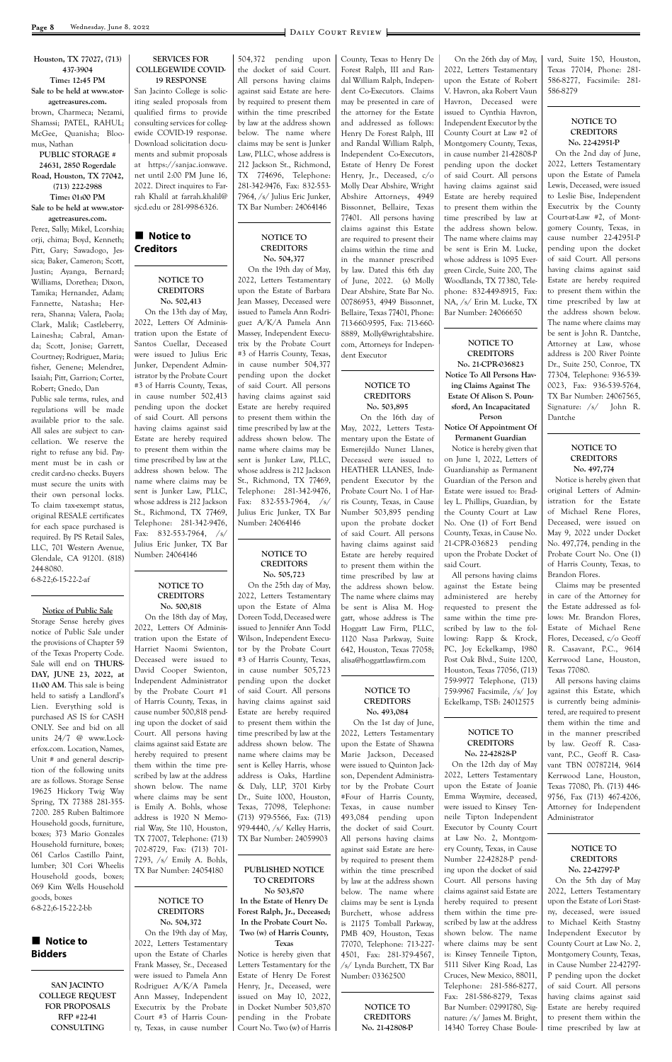**Houston, TX 77027, (713) 437-3904 Time: 12:45 PM Sale to be held at www.storagetreasures.com.** brown, Charmeca; Nezami, Shamssi; PATEL, RAHUL; McGee, Quanisha; Bloo-

### mus, Nathan **PUBLIC STORAGE # 24631, 2850 Rogerdale Road, Houston, TX 77042, (713) 222-2988 Time: 01:00 PM Sale to be held at www.stor-**

**agetreasures.com.** Perez, Sally; Mikel, Lcorshia; orji, chima; Boyd, Kenneth; Pitt, Gary; Sawadogo, Jessica; Baker, Cameron; Scott, Justin; Ayanga, Bernard; Williams, Dorethea; Dixon, Tamika; Hernandez, Adam; Fannette, Natasha; Herrera, Shanna; Valera, Paola; Clark, Malik; Castleberry, Lainesha; Cabral, Amanda; Scott, Jonise; Garrett, Courtney; Rodriguez, Maria; fisher, Genene; Melendrez, Isaiah; Pitt, Garrion; Cortez, Robert; Gnedo, Dan

# **n** Notice to **Bidders**

Public sale terms, rules, and regulations will be made available prior to the sale. All sales are subject to cancellation. We reserve the right to refuse any bid. Payment must be in cash or credit card-no checks. Buyers must secure the units with their own personal locks. To claim tax-exempt status, original RESALE certificates for each space purchased is required. By PS Retail Sales, LLC, 701 Western Avenue, Glendale, CA 91201. (818) 244-8080. 6-8-22;6-15-22-2-af

# **Notice to Creditors**

#### **Notice of Public Sale**

Storage Sense hereby gives notice of Public Sale under the provisions of Chapter 59 of the Texas Property Code. Sale will end on **THURS-DAY, JUNE 23, 2022, at 11:00 AM**. This sale is being held to satisfy a Landlord's Lien. Everything sold is purchased AS IS for CASH ONLY. See and bid on all units 24/7 @ www.Lockerfox.com. Location, Names, Unit # and general description of the following units are as follows. Storage Sense 19625 Hickory Twig Way Spring, TX 77388 281-355- 7200. 285 Ruben Baltimore Household goods, furniture, boxes; 373 Mario Gonzales Household furniture, boxes; 061 Carlos Castillo Paint, lumber; 301 Cori Wheelis Household goods, boxes; 069 Kim Wells Household goods, boxes 6-8-22;6-15-22-2-bb

**SAN JACINTO COLLEGE REQUEST FOR PROPOSALS RFP #22-41 CONSULTING**

#### **SERVICES FOR COLLEGEWIDE COVID-19 RESPONSE**

San Jacinto College is soliciting sealed proposals from qualified firms to provide consulting services for collegewide COVID-19 response. Download solicitation documents and submit proposals at https://sanjac.ionwave. net until 2:00 PM June 16, 2022. Direct inquires to Farrah Khalil at farrah.khalil@ sjcd.edu or 281-998-6326.

#### **NOTICE TO CREDITORS No. 502,413**

 On the 13th day of May, 2022, Letters Of Administration upon the Estate of Santos Cuellar, Deceased were issued to Julius Eric Junker, Dependent Administrator by the Probate Court #3 of Harris County, Texas, in cause number 502,413 pending upon the docket of said Court. All persons having claims against said Estate are hereby required to present them within the time prescribed by law at the address shown below. The name where claims may be sent is Junker Law, PLLC, whose address is 212 Jackson St., Richmond, TX 77469, Telephone: 281-342-9476, Fax: 832-553-7964, /s/ Julius Eric Junker, TX Bar Number: 24064146

#### **NOTICE TO CREDITORS No. 500,818**

 On the 18th day of May, 2022, Letters Of Administration upon the Estate of Harriet Naomi Swienton, Deceased were issued to David Cooper Swienton, Independent Administrator by the Probate Court #1 of Harris County, Texas, in cause number 500,818 pending upon the docket of said Court. All persons having claims against said Estate are hereby required to present them within the time prescribed by law at the address shown below. The name where claims may be sent is Emily A. Bohls, whose address is 1920 N Memorial Way, Ste 110, Houston, TX 77007, Telephone: (713) 702-8729, Fax: (713) 701- 7293, /s/ Emily A. Bohls, TX Bar Number: 24054180

**NOTICE TO CREDITORS No. 504,372** On the 19th day of May, 2022, Letters Testamentary upon the Estate of Charles Frank Massey, Sr., Deceased were issued to Pamela Ann Rodriguez A/K/A Pamela Ann Massey, Independent Executrix by the Probate Court #3 of Harris County, Texas, in cause number 504,372 pending upon the docket of said Court. All persons having claims against said Estate are hereby required to present them within the time prescribed by law at the address shown below. The name where claims may be sent is Junker Law, PLLC, whose address is 212 Jackson St., Richmond, TX 774696, Telephone: 281-342-9476, Fax: 832-553- 7964, /s/ Julius Eric Junker, TX Bar Number: 24064146

### **NOTICE TO CREDITORS No. 504,377**

 On the 19th day of May, 2022, Letters Testamentary upon the Estate of Barbara Jean Massey, Deceased were issued to Pamela Ann Rodriguez A/K/A Pamela Ann Massey, Independent Executrix by the Probate Court #3 of Harris County, Texas, in cause number 504,377 pending upon the docket of said Court. All persons having claims against said Estate are hereby required to present them within the time prescribed by law at the address shown below. The name where claims may be sent is Junker Law, PLLC, whose address is 212 Jackson St., Richmond, TX 77469, Telephone: 281-342-9476, Fax: 832-553-7964, /s/ Julius Eric Junker, TX Bar Number: 24064146

#### **NOTICE TO CREDITORS No. 505,723**

 On the 25th day of May, 2022, Letters Testamentary upon the Estate of Alma Doreen Todd, Deceased were issued to Jennifer Ann Todd Wilson, Independent Executor by the Probate Court #3 of Harris County, Texas, in cause number 505,723 pending upon the docket of said Court. All persons having claims against said Estate are hereby required to present them within the time prescribed by law at the address shown below. The name where claims may be sent is Kelley Harris, whose address is Oaks, Hartline

& Daly, LLP, 3701 Kirby Dr., Suite 1000, Houston, Texas, 77098, Telephone: (713) 979-5566, Fax: (713) 979-4440, /s/ Kelley Harris, TX Bar Number: 24059903

**PUBLISHED NOTICE TO CREDITORS No 503,870 In the Estate of Henry De Forest Ralph, Jr., Deceased; In the Probate Court No. Two (w) of Harris County, Texas** Notice is hereby given that Letters Testamentary for the Estate of Henry De Forest Henry, Jr., Deceased, were issued on May 10, 2022, in Docket Number 503,870 pending in the Probate Court No. Two (w) of Harris

County, Texas to Henry De Forest Ralph, III and Randal William Ralph, Independent Co-Executors. Claims may be presented in care of the attorney for the Estate and addressed as follows: Henry De Forest Ralph, III and Randal William Ralph, Independent Co-Executors, Estate of Henry De Forest Henry, Jr., Deceased, c/o Molly Dear Abshire, Wright Abshire Attorneys, 4949 Bissonnet, Bellaire, Texas 77401. All persons having claims against this Estate are required to present their claims within the time and in the manner prescribed by law. Dated this 6th day of June, 2022. (s) Molly Dear Abshire, State Bar No. 00786953, 4949 Bissonnet, Bellaire, Texas 77401, Phone: 713-660-9595, Fax: 713-660- 8889, Molly@wrightabshire. com, Attorneys for Independent Executor

#### **NOTICE TO CREDITORS No. 503,895**

 On the 16th day of May, 2022, Letters Testamentary upon the Estate of Esmerejildo Nunez Llanes, Deceased were issued to HEATHER LLANES, Independent Executor by the Probate Court No. 1 of Harris County, Texas, in Cause Number 503,895 pending upon the probate docket of said Court. All persons having claims against said Estate are hereby required to present them within the time prescribed by law at the address shown below. The name where claims may be sent is Alisa M. Hoggatt, whose address is The Hoggatt Law Firm, PLLC, 1120 Nasa Parkway, Suite 642, Houston, Texas 77058; alisa@hoggattlawfirm.com

#### **NOTICE TO CREDITORS No. 493,084**

 On the 1st day of June, 2022, Letters Testamentary upon the Estate of Shawna Marie Jackson, Deceased were issued to Quinton Jackson, Dependent Administrator by the Probate Court #Four of Harris County, Texas, in cause number 493,084 pending upon the docket of said Court. All persons having claims against said Estate are hereby required to present them within the time prescribed by law at the address shown below. The name where claims may be sent is Lynda Burchett, whose address is 21175 Tomball Parkway, PMB 409, Houston, Texas 77070, Telephone: 713-227- 4501, Fax: 281-379-4567, /s/ Lynda Burchett, TX Bar Number: 03362500

> **NOTICE TO CREDITORS No. 21-42808-P**

 On the 26th day of May, 2022, Letters Testamentary upon the Estate of Robert V. Havron, aka Robert Vaun Havron, Deceased were issued to Cynthia Havron, Independent Executor by the County Court at Law #2 of Montgomery County, Texas, in cause number 21-42808-P pending upon the docket of said Court. All persons having claims against said Estate are hereby required to present them within the time prescribed by law at the address shown below. The name where claims may be sent is Erin M. Lucke, whose address is 1095 Evergreen Circle, Suite 200, The Woodlands, TX 77380, Telephone: 832-449-8915, Fax: NA, /s/ Erin M. Lucke, TX Bar Number: 24066650

**NOTICE TO CREDITORS No. 21-CPR-036823 Notice To All Persons Hav-**

**ing Claims Against The Estate Of Alison S. Pounsford, An Incapacitated Person**

#### **Notice Of Appointment Of Permanent Guardian**

Notice is hereby given that on June 1, 2022, Letters of Guardianship as Permanent Guardian of the Person and Estate were issued to: Bradley L. Phillips, Guardian, by the County Court at Law No. One (1) of Fort Bend County, Texas, in Cause No. 21-CPR-036823 pending upon the Probate Docket of said Court.

All persons having claims against the Estate being administered are hereby requested to present the same within the time prescribed by law to the following: Rapp & Krock, PC, Joy Eckelkamp, 1980 Post Oak Blvd., Suite 1200, Houston, Texas 77056, (713) 759-9977 Telephone, (713) 759-9967 Facsimile, /s/ Joy Eckelkamp, TSB: 24012575

#### **NOTICE TO CREDITORS No. 22-42828-P**

On the 12th day of May 2022, Letters Testamentary upon the Estate of Joanie Emma Waymire, deceased, were issued to Kinsey Tenneile Tipton Independent Executor by County Court at Law No. 2, Montgomery County, Texas, in Cause Number 22-42828-P pending upon the docket of said Court. All persons having claims against said Estate are hereby required to present them within the time prescribed by law at the address shown below. The name where claims may be sent is: Kinsey Tenneile Tipton, 5111 Silver King Road, Las Cruces, New Mexico, 88011, Telephone: 281-586-8277, Fax: 281-586-8279, Texas Bar Number: 02991780, Signature: /s/ James M. Bright,

14340 Torrey Chase Boule-

vard, Suite 150, Houston, Texas 77014, Phone: 281- 586-8277, Facsimile: 281- 586-8279

### **NOTICE TO CREDITORS No. 22-42951-P**

On the 2nd day of June, 2022, Letters Testamentary upon the Estate of Pamela Lewis, Deceased, were issued to Leslie Bise, Independent Executrix by the County Court-at-Law #2, of Montgomery County, Texas, in cause number 22-42951-P pending upon the docket of said Court. All persons having claims against said Estate are hereby required to present them within the time prescribed by law at the address shown below. The name where claims may be sent is John R. Dantche, Attorney at Law, whose address is 200 River Pointe Dr., Suite 250, Conroe, TX 77304, Telephone: 936-539- 0023, Fax: 936-539-5764, TX Bar Number: 24067565, Signature: /s/ John R. Dantche

### **NOTICE TO CREDITORS No. 497,774**

Notice is hereby given that original Letters of Administration for the Estate of Michael Rene Flores, Deceased, were issued on May 9, 2022 under Docket No. 497,774, pending in the Probate Court No. One (1) of Harris County, Texas, to Brandon Flores.

Claims may be presented in care of the Attorney for the Estate addressed as follows: Mr. Brandon Flores, Estate of Michael Rene Flores, Deceased, c/o Geoff R. Casavant, P.C., 9614 Kerrwood Lane, Houston, Texas 77080.

All persons having claims against this Estate, which is currently being administered, are required to present them within the time and in the manner prescribed by law. Geoff R. Casavant, P.C., Geoff R. Casavant TBN 00787214, 9614 Kerrwood Lane, Houston,

Texas 77080, Ph. (713) 446- 9756, Fax (713) 467-4206, Attorney for Independent Administrator

# **NOTICE TO CREDITORS No. 22-42797-P** On the 5th day of May

2022, Letters Testamentary upon the Estate of Lori Stastny, deceased, were issued to Michael Keith Stastny Independent Executor by County Court at Law No. 2, Montgomery County, Texas, in Cause Number 22-42797- P pending upon the docket of said Court. All persons having claims against said Estate are hereby required to present them within the time prescribed by law at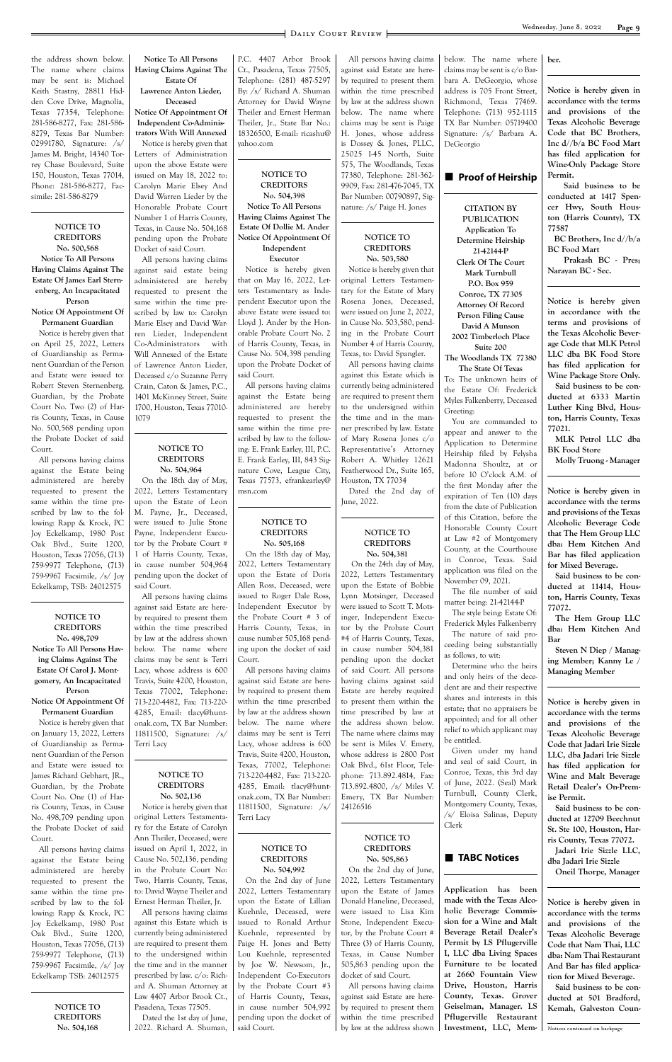the address shown below. The name where claims may be sent is: Michael Keith Stastny, 28811 Hidden Cove Drive, Magnolia, Texas 77354, Telephone: 281-586-8277, Fax: 281-586- 8279, Texas Bar Number: 02991780, Signature: /s/ James M. Bright, 14340 Torrey Chase Boulevard, Suite 150, Houston, Texas 77014, Phone: 281-586-8277, Facsimile: 281-586-8279

#### **NOTICE TO CREDITORS No. 500,568 Notice To All Persons Having Claims Against The Estate Of James Earl Sternenberg, An Incapacitated Person**

#### **Notice Of Appointment Of Permanent Guardian**

Notice is hereby given that on April 25, 2022, Letters of Guardianship as Permanent Guardian of the Person and Estate were issued to: Robert Steven Sternenberg, Guardian, by the Probate Court No. Two (2) of Harris County, Texas, in Cause No. 500,568 pending upon the Probate Docket of said Court.

All persons having claims against the Estate being administered are hereby requested to present the same within the time prescribed by law to the following: Rapp & Krock, PC Joy Eckelkamp, 1980 Post Oak Blvd., Suite 1200, Houston, Texas 77056, (713) 759-9977 Telephone, (713) 759-9967 Facsimile, /s/ Joy Eckelkamp, TSB: 24012575

#### **NOTICE TO CREDITORS No. 498,709 Notice To All Persons Having Claims Against The Estate Of Carol J. Montgomery, An Incapacitated**

# **Person Notice Of Appointment Of**

**Permanent Guardian** Notice is hereby given that on January 13, 2022, Letters of Guardianship as Permanent Guardian of the Person and Estate were issued to: James Richard Gebhart, JR.,

Guardian, by the Probate Court No. One (1) of Harris County, Texas, in Cause No. 498,709 pending upon the Probate Docket of said Court.

All persons having claims against the Estate being administered are hereby requested to present the same within the time prescribed by law to the following: Rapp & Krock, PC Joy Eckelkamp, 1980 Post Oak Blvd., Suite 1200, Houston, Texas 77056, (713) 759-9977 Telephone, (713) 759-9967 Facsimile, /s/ Joy Eckelkamp TSB: 24012575

> **NOTICE TO CREDITORS No. 504,168**

**Notice To All Persons Having Claims Against The Estate Of**

## **Lawrence Anton Lieder, Deceased**

**Notice Of Appointment Of Independent Co-Administrators With Will Annexed** Notice is hereby given that Letters of Administration upon the above Estate were issued on May 18, 2022 to: Carolyn Marie Elsey And David Warren Lieder by the Honorable Probate Court Number 1 of Harris County,

Texas, in Cause No. 504,168 pending upon the Probate Docket of said Court.

All persons having claims against said estate being administered are hereby requested to present the same within the time prescribed by law to: Carolyn Marie Elsey and David Warren Lieder, Independent Co-Administrators with Will Annexed of the Estate of Lawrence Anton Lieder, Deceased c/o Suzanne Perry Crain, Caton & James, P.C., 1401 McKinney Street, Suite 1700, Houston, Texas 77010- 1079

#### **NOTICE TO CREDITORS No. 504,964**

On the 18th day of May, 2022, Letters Testamentary upon the Estate of Leon M. Payne, Jr., Deceased, were issued to Julie Stone Payne, Independent Executor by the Probate Court # 1 of Harris County, Texas, in cause number 504,964 pending upon the docket of said Court.

All persons having claims against said Estate are hereby required to present them within the time prescribed by law at the address shown below. The name where claims may be sent is Terri Lacy, whose address is 600 Travis, Suite 4200, Houston, Texas 77002, Telephone: 713-220-4482, Fax: 713-220- 4285, Email: tlacy@huntonak.com, TX Bar Number: 11811500, Signature: /s/ Terri Lacy

### **NOTICE TO**

**CREDITORS No. 502,136** Notice is hereby given that original Letters Testamentary for the Estate of Carolyn Ann Theiler, Deceased, were issued on April 1, 2022, in Cause No. 502,136, pending in the Probate Court No: Two, Harris County, Texas, to: David Wayne Theiler and Ernest Herman Theiler, Jr. All persons having claims against this Estate which is currently being administered are required to present them to the undersigned within the time and in the manner prescribed by law. c/o: Richard A. Shuman Attorney at Law 4407 Arbor Brook Ct., Pasadena, Texas 77505. Dated the 1st day of June, 2022. Richard A. Shuman,

P.C. 4407 Arbor Brook Ct., Pasadena, Texas 77505, Telephone: (281) 487-5297 By: /s/ Richard A. Shuman Attorney for David Wayne Theiler and Ernest Herman Theiler, Jr., State Bar No.: 18326500, E-mail: ricashu@ yahoo.com

#### **NOTICE TO CREDITORS No. 504,398**

**Notice To All Persons Having Claims Against The Estate Of Dollie M. Ander Notice Of Appointment Of Independent**

**Executor** Notice is hereby given that on May 16, 2022, Letters Testamentary as Independent Executor upon the above Estate were issued to: Lloyd J. Ander by the Honorable Probate Court No. 2 of Harris County, Texas, in Cause No. 504,398 pending upon the Probate Docket of said Court.

All persons having claims against the Estate being administered are hereby requested to present the same within the time prescribed by law to the following: E. Frank Earley, III, P.C. E. Frank Earley, III, 843 Signature Cove, League City, Texas 77573, efrankearley@ msn.com

#### **NOTICE TO CREDITORS No. 505,168**

On the 18th day of May, 2022, Letters Testamentary upon the Estate of Doris Allen Ross, Deceased, were issued to Roger Dale Ross, Independent Executor by the Probate Court # 3 of Harris County, Texas, in cause number 505,168 pending upon the docket of said Court.

All persons having claims against said Estate are hereby required to present them within the time prescribed by law at the address shown below. The name where claims may be sent is Terri Lacy, whose address is 600 Travis, Suite 4200, Houston, Texas, 77002, Telephone: 713-220-4482, Fax: 713-220- 4285, Email: tlacy@huntonak.com, TX Bar Number: 11811500, Signature: /s/ Terri Lacy

> **NOTICE TO CREDITORS No. 504,992**

On the 2nd day of June 2022, Letters Testamentary upon the Estate of Lillian Kuehnle, Deceased, were issued to Ronald Arthur Kuehnle, represented by Paige H. Jones and Betty Lou Kuehnle, represented by Joe W. Newsom, Jr., Independent Co-Executors by the Probate Court #3 of Harris County, Texas, in cause number 504,992 pending upon the docket of said Court.

All persons having claims against said Estate are hereby required to present them within the time prescribed by law at the address shown below. The name where claims may be sent is Paige H. Jones, whose address is Dossey & Jones, PLLC, 25025 I-45 North, Suite 575, The Woodlands, Texas 77380, Telephone: 281-362- 9909, Fax: 281-476-7045, TX Bar Number: 00790897, Signature: /s/ Paige H. Jones

#### **NOTICE TO CREDITORS No. 503,580**

Notice is hereby given that original Letters Testamentary for the Estate of Mary Rosena Jones, Deceased, were issued on June 2, 2022, in Cause No. 503,580, pending in the Probate Court Number 4 of Harris County, Texas, to: David Spangler.

All persons having claims against this Estate which is currently being administered are required to present them to the undersigned within the time and in the manner prescribed by law. Estate of Mary Rosena Jones c/o Representative's Attorney Robert A. Whitley 12621 Featherwood Dr., Suite 165, Houston, TX 77034 Dated the 2nd day of

June, 2022.

#### **NOTICE TO CREDITORS No. 504,381**

 On the 24th day of May, 2022, Letters Testamentary upon the Estate of Bobbie Lynn Motsinger, Deceased were issued to Scott T. Motsinger, Independent Executor by the Probate Court #4 of Harris County, Texas, in cause number 504,381 pending upon the docket of said Court. All persons having claims against said Estate are hereby required to present them within the time prescribed by law at the address shown below. The name where claims may be sent is Miles V. Emery, whose address is 2800 Post Oak Blvd., 61st Floor, Telephone: 713.892.4814, Fax:

713.892.4800, /s/ Miles V. Emery, TX Bar Number: 24126516

### **NOTICE TO CREDITORS No. 505,863**

On the 2nd day of June, 2022, Letters Testamentary upon the Estate of James Donald Haneline, Deceased, were issued to Lisa Kim Stone, Independent Executor, by the Probate Court # Three (3) of Harris County, Texas, in Cause Number 505,863 pending upon the docket of said Court. All persons having claims against said Estate are hereby required to present them

within the time prescribed

**n** TABC Notices

below. The name where claims may be sent is c/o Barbara A. DeGeorgio, whose address is 705 Front Street, Richmond, Texas 77469. Telephone: (713) 952-1115 TX Bar Number: 05719400 Signature: /s/ Barbara A. DeGeorgio

#### **■ Proof of Heirship**

**CITATION BY PUBLICATION Application To Determine Heirship 21-42144-P Clerk Of The Court Mark Turnbull P.O. Box 959 Conroe, TX 77305 Attorney Of Record Person Filing Cause David A Munson 2002 Timberloch Place Suite 200 The Woodlands TX 77380 The State Of Texas** To: The unknown heirs of the Estate Of: Frederick Myles Falkenberry, Deceased Greeting: You are commanded to appear and answer to the Application to Determine Heirship filed by Felysha Madonna Shoultz, at or before 10 O'clock A.M. of the first Monday after the expiration of Ten (10) days from the date of Publication

of this Citation, before the Honorable County Court at Law #2 of Montgomery County, at the Courthouse in Conroe, Texas. Said application was filed on the November 09, 2021.

by law at the address shown **Application has been made with the Texas Alcoholic Beverage Commission for a Wine and Malt Beverage Retail Dealer's Permit by LS Pflugerville I, LLC dba Living Spaces Furniture to be located at 2660 Fountain View Drive, Houston, Harris County, Texas. Grover Geiselman, Manager. LS Pflugerville Restaurant Investment, LLC, Mem-**

The file number of said matter being: 21-42144-P

The style being: Estate Of: Frederick Myles Falkenberry The nature of said proceeding being substantially as follows, to wit:

Determine who the heirs and only heirs of the decedent are and their respective shares and interests in this estate; that no appraisers be appointed; and for all other relief to which applicant may be entitled.

Given under my hand and seal of said Court, in Conroe, Texas, this 3rd day of June, 2022. (Seal) Mark Turnbull, County Clerk, Montgomery County, Texas, /s/ Eloisa Salinas, Deputy Clerk

**ber.**

**Notice is hereby given in accordance with the terms and provisions of the Texas Alcoholic Beverage Code that BC Brothers, Inc d//b/a BC Food Mart has filed application for Wine-Only Package Store Permit.**

 **Said business to be conducted at 1417 Spencer Hwy, South Houston (Harris County), TX 77587**

 **BC Brothers, Inc d//b/a BC Food Mart**

 **Prakash BC - Pres; Narayan BC - Sec.**

**Notice is hereby given in accordance with the terms and provisions of the Texas Alcoholic Beverage Code that MLK Petrol LLC dba BK Food Store has filed application for Wine Package Store Only.**

**Said business to be conducted at 6333 Martin Luther King Blvd, Houston, Harris County, Texas 77021.**

**MLK Petrol LLC dba BK Food Store**

**Molly Truong - Manager**

**Notice is hereby given in accordance with the terms and provisions of the Texas Alcoholic Beverage Code that The Hem Group LLC dba: Hem Kitchen And Bar has filed application for Mixed Beverage.**

**Said business to be conducted at 11414, Houston, Harris County, Texas 77072.**

**The Hem Group LLC dba: Hem Kitchen And Bar**

**Steven N Diep / Managing Member; Kanny Le / Managing Member**

**Notice is hereby given in accordance with the terms and provisions of the Texas Alcoholic Beverage Code that Jadari Irie Sizzle LLC, dba Jadari Irie Sizzle has filed application for Wine and Malt Beverage** 

**Retail Dealer's On-Premise Permit.**

**Said business to be conducted at 12709 Beechnut St. Ste 100, Houston, Harris County, Texas 77072. Jadari Irie Sizzle LLC, dba Jadari Irie Sizzle Oneil Thorpe, Manager**

**Notice is hereby given in accordance with the terms and provisions of the Texas Alcoholic Beverage Code that Nam Thai, LLC dba: Nam Thai Restaurant And Bar has filed application for Mixed Beverage.**

**Said business to be conducted at 501 Bradford, Kemah, Galveston Coun-**

Notices continued on backpage